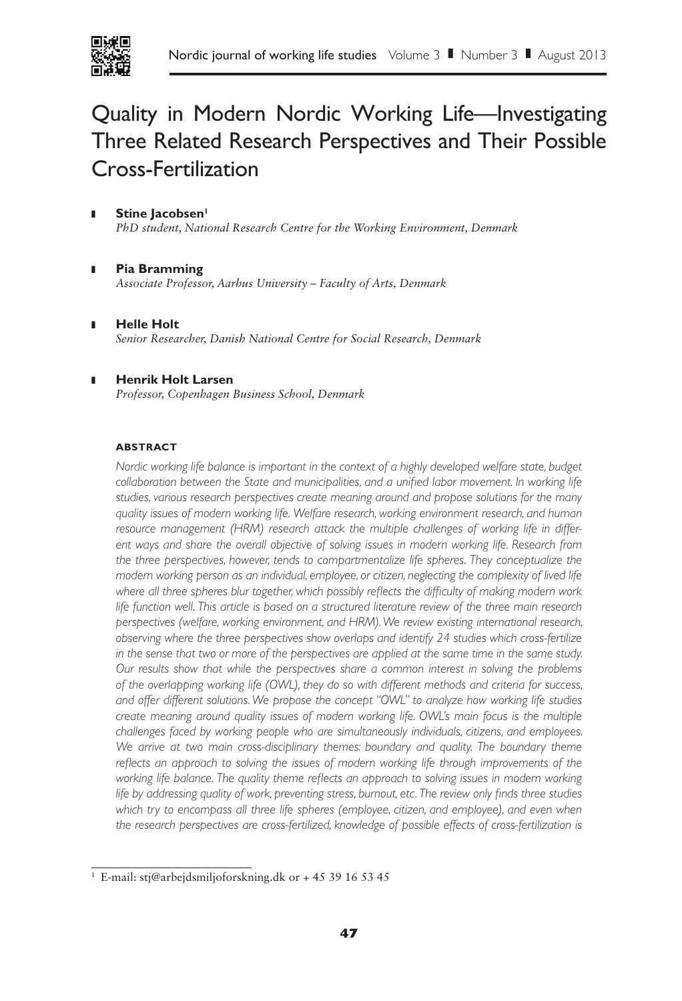

# Quality in Modern Nordic Working Life—Investigating Three Related Research Perspectives and Their Possible Cross-Fertilization

- Stine **Jacobsen**<sup>1</sup> *PhD student, National Research Centre for the Working Environment, Denmark*
- ❚ **Pia Bramming** *Associate Professor, Aarhus University – Faculty of Arts, Denmark*
- ❚ **Helle Holt** *Senior Researcher, Danish National Centre for Social Research, Denmark*
- ❚ **Henrik Holt Larsen** *Professor, Copenhagen Business School, Denmark*

# **ABSTRACT**

*Nordic working life balance is important in the context of a highly developed welfare state, budget*  collaboration between the State and municipalities, and a unified labor movement. In working life *studies, various research perspectives create meaning around and propose solutions for the many quality issues of modern working life. Welfare research, working environment research, and human resource management (HRM) research attack the multiple challenges of working life in differ*ent ways and share the overall objective of solving issues in modern working life. Research from *the three perspectives, however, tends to compartmentalize life spheres. They conceptualize the modern working person as an individual, employee, or citizen, neglecting the complexity of lived life where all three spheres blur together, which possibly reflects the difficulty of making modern work life function well. This article is based on a structured literature review of the three main research perspectives (welfare, working environment, and HRM). We review existing international research, observing where the three perspectives show overlaps and identify 24 studies which cross-fertilize in the sense that two or more of the perspectives are applied at the same time in the same study. Our results show that while the perspectives share a common interest in solving the problems of the overlapping working life (OWL), they do so with different methods and criteria for success, and offer different solutions. We propose the concept "OWL" to analyze how working life studies create meaning around quality issues of modern working life. OWL's main focus is the multiple challenges faced by working people who are simultaneously individuals, citizens, and employees. We arrive at two main cross-disciplinary themes: boundary and quality. The boundary theme reflects an approach to solving the issues of modern working life through improvements of the*  working life balance. The quality theme reflects an approach to solving issues in modern working *life by addressing quality of work, preventing stress, burnout, etc. The review only finds three studies which try to encompass all three life spheres (employee, citizen, and employee), and even when the research perspectives are cross-fertilized, knowledge of possible effects of cross-fertilization is* 

<sup>1</sup> E-mail: stj@arbejdsmiljoforskning.dk or + 45 39 16 53 45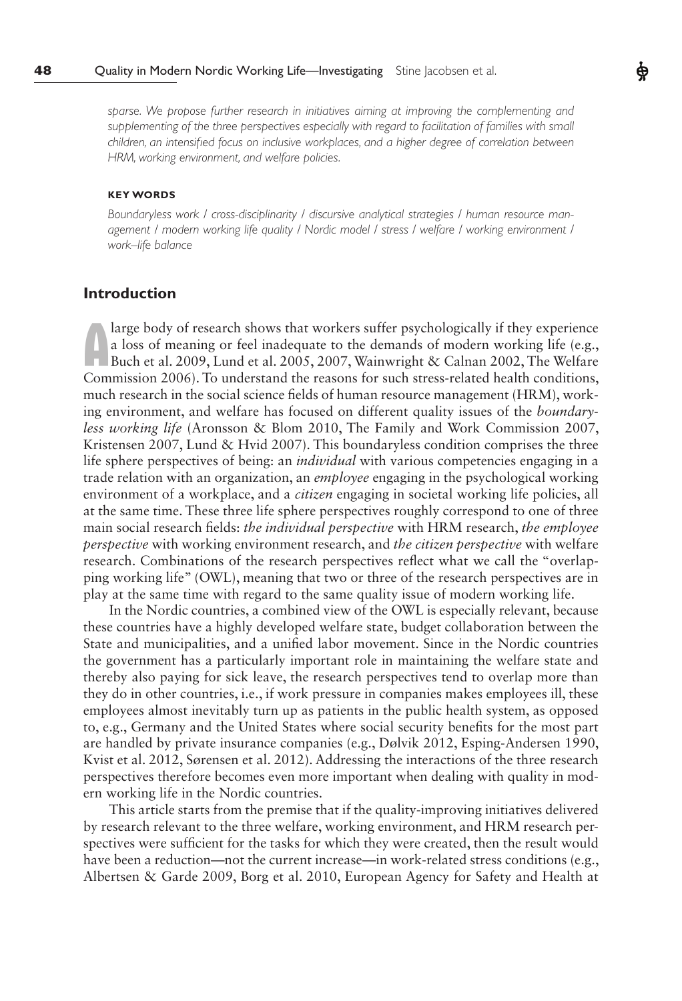sparse. We propose further research in initiatives aiming at improving the complementing and supplementing of the three perspectives especially with regard to facilitation of families with small *children, an intensified focus on inclusive workplaces, and a higher degree of correlation between HRM, working environment, and welfare policies.*

#### **KEY WORDS**

*Boundaryless work / cross-disciplinarity / discursive analytical strategies / human resource management / modern working life quality / Nordic model / stress / welfare / working environment / work–life balance* 

# **Introduction**

a loss of meaning or feel inadequate to the demands of modern working life (e.g.,<br>Buch et al. 2009, Lund et al. 2005, 2007, Wainwright & Calnan 2002, The Welfare<br>Commission 2006). To understand the reasons for such stress a loss of meaning or feel inadequate to the demands of modern working life (e.g., Buch et al. 2009, Lund et al. 2005, 2007, Wainwright & Calnan 2002, The Welfare Commission 2006). To understand the reasons for such stress-related health conditions, much research in the social science fields of human resource management (HRM), working environment, and welfare has focused on different quality issues of the *boundaryless working life* (Aronsson & Blom 2010, The Family and Work Commission 2007, Kristensen 2007, Lund & Hvid 2007). This boundaryless condition comprises the three life sphere perspectives of being: an *individual* with various competencies engaging in a trade relation with an organization, an *employee* engaging in the psychological working environment of a workplace, and a *citizen* engaging in societal working life policies, all at the same time. These three life sphere perspectives roughly correspond to one of three main social research fields: *the individual perspective* with HRM research, *the employee perspective* with working environment research, and *the citizen perspective* with welfare research. Combinations of the research perspectives reflect what we call the "overlapping working life" (OWL), meaning that two or three of the research perspectives are in play at the same time with regard to the same quality issue of modern working life.

In the Nordic countries, a combined view of the OWL is especially relevant, because these countries have a highly developed welfare state, budget collaboration between the State and municipalities, and a unified labor movement. Since in the Nordic countries the government has a particularly important role in maintaining the welfare state and thereby also paying for sick leave, the research perspectives tend to overlap more than they do in other countries, i.e., if work pressure in companies makes employees ill, these employees almost inevitably turn up as patients in the public health system, as opposed to, e.g., Germany and the United States where social security benefits for the most part are handled by private insurance companies (e.g., Dølvik 2012, Esping-Andersen 1990, Kvist et al. 2012, Sørensen et al. 2012). Addressing the interactions of the three research perspectives therefore becomes even more important when dealing with quality in modern working life in the Nordic countries.

This article starts from the premise that if the quality-improving initiatives delivered by research relevant to the three welfare, working environment, and HRM research perspectives were sufficient for the tasks for which they were created, then the result would have been a reduction—not the current increase—in work-related stress conditions (e.g., Albertsen & Garde 2009, Borg et al. 2010, European Agency for Safety and Health at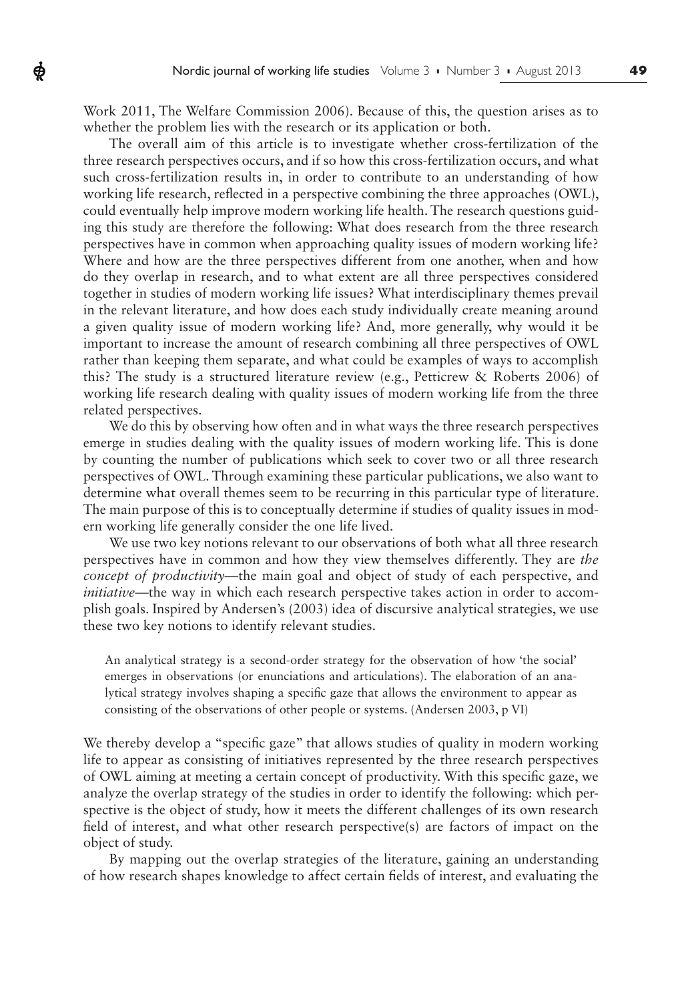Work 2011, The Welfare Commission 2006). Because of this, the question arises as to whether the problem lies with the research or its application or both.

ф

The overall aim of this article is to investigate whether cross-fertilization of the three research perspectives occurs, and if so how this cross-fertilization occurs, and what such cross-fertilization results in, in order to contribute to an understanding of how working life research, reflected in a perspective combining the three approaches (OWL), could eventually help improve modern working life health. The research questions guiding this study are therefore the following: What does research from the three research perspectives have in common when approaching quality issues of modern working life? Where and how are the three perspectives different from one another, when and how do they overlap in research, and to what extent are all three perspectives considered together in studies of modern working life issues? What interdisciplinary themes prevail in the relevant literature, and how does each study individually create meaning around a given quality issue of modern working life? And, more generally, why would it be important to increase the amount of research combining all three perspectives of OWL rather than keeping them separate, and what could be examples of ways to accomplish this? The study is a structured literature review (e.g., Petticrew & Roberts 2006) of working life research dealing with quality issues of modern working life from the three related perspectives.

We do this by observing how often and in what ways the three research perspectives emerge in studies dealing with the quality issues of modern working life. This is done by counting the number of publications which seek to cover two or all three research perspectives of OWL. Through examining these particular publications, we also want to determine what overall themes seem to be recurring in this particular type of literature. The main purpose of this is to conceptually determine if studies of quality issues in modern working life generally consider the one life lived.

We use two key notions relevant to our observations of both what all three research perspectives have in common and how they view themselves differently. They are *the concept of productivity*—the main goal and object of study of each perspective, and *initiative*—the way in which each research perspective takes action in order to accomplish goals. Inspired by Andersen's (2003) idea of discursive analytical strategies, we use these two key notions to identify relevant studies.

An analytical strategy is a second-order strategy for the observation of how 'the social' emerges in observations (or enunciations and articulations). The elaboration of an analytical strategy involves shaping a specific gaze that allows the environment to appear as consisting of the observations of other people or systems. (Andersen 2003, p VI)

We thereby develop a "specific gaze" that allows studies of quality in modern working life to appear as consisting of initiatives represented by the three research perspectives of OWL aiming at meeting a certain concept of productivity. With this specific gaze, we analyze the overlap strategy of the studies in order to identify the following: which perspective is the object of study, how it meets the different challenges of its own research field of interest, and what other research perspective(s) are factors of impact on the object of study.

By mapping out the overlap strategies of the literature, gaining an understanding of how research shapes knowledge to affect certain fields of interest, and evaluating the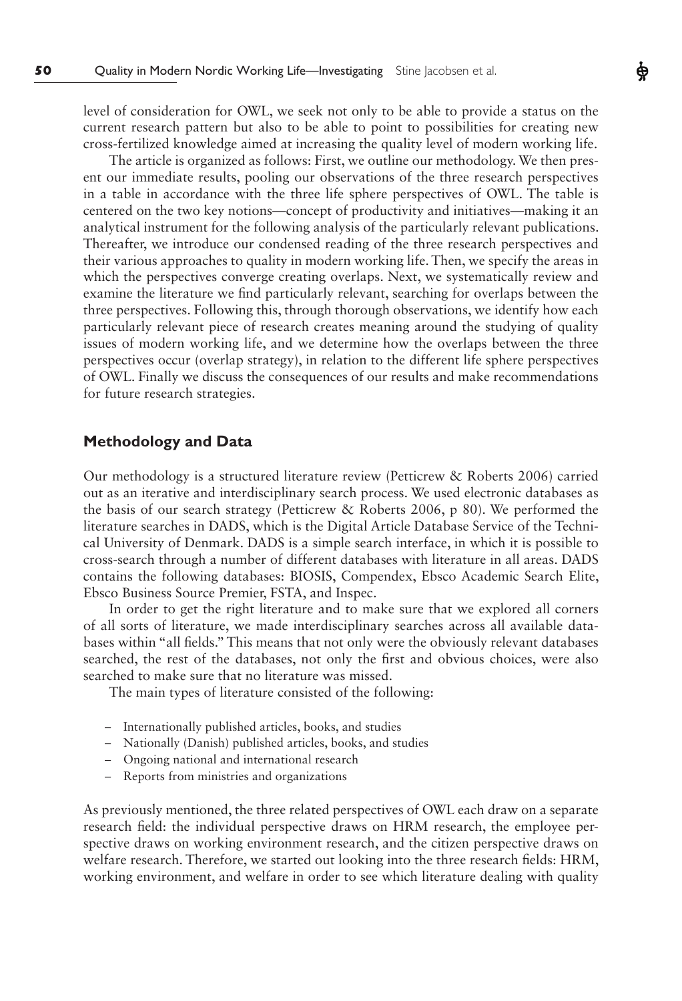level of consideration for OWL, we seek not only to be able to provide a status on the current research pattern but also to be able to point to possibilities for creating new cross-fertilized knowledge aimed at increasing the quality level of modern working life. Ф

The article is organized as follows: First, we outline our methodology. We then present our immediate results, pooling our observations of the three research perspectives in a table in accordance with the three life sphere perspectives of OWL. The table is centered on the two key notions—concept of productivity and initiatives—making it an analytical instrument for the following analysis of the particularly relevant publications. Thereafter, we introduce our condensed reading of the three research perspectives and their various approaches to quality in modern working life. Then, we specify the areas in which the perspectives converge creating overlaps. Next, we systematically review and examine the literature we find particularly relevant, searching for overlaps between the three perspectives. Following this, through thorough observations, we identify how each particularly relevant piece of research creates meaning around the studying of quality issues of modern working life, and we determine how the overlaps between the three perspectives occur (overlap strategy), in relation to the different life sphere perspectives of OWL. Finally we discuss the consequences of our results and make recommendations for future research strategies.

# **Methodology and Data**

Our methodology is a structured literature review (Petticrew & Roberts 2006) carried out as an iterative and interdisciplinary search process. We used electronic databases as the basis of our search strategy (Petticrew & Roberts 2006, p 80). We performed the literature searches in DADS, which is the Digital Article Database Service of the Technical University of Denmark. DADS is a simple search interface, in which it is possible to cross-search through a number of different databases with literature in all areas. DADS contains the following databases: BIOSIS, Compendex, Ebsco Academic Search Elite, Ebsco Business Source Premier, FSTA, and Inspec.

In order to get the right literature and to make sure that we explored all corners of all sorts of literature, we made interdisciplinary searches across all available databases within "all fields." This means that not only were the obviously relevant databases searched, the rest of the databases, not only the first and obvious choices, were also searched to make sure that no literature was missed.

The main types of literature consisted of the following:

- Internationally published articles, books, and studies
- Nationally (Danish) published articles, books, and studies
- Ongoing national and international research
- Reports from ministries and organizations

As previously mentioned, the three related perspectives of OWL each draw on a separate research field: the individual perspective draws on HRM research, the employee perspective draws on working environment research, and the citizen perspective draws on welfare research. Therefore, we started out looking into the three research fields: HRM, working environment, and welfare in order to see which literature dealing with quality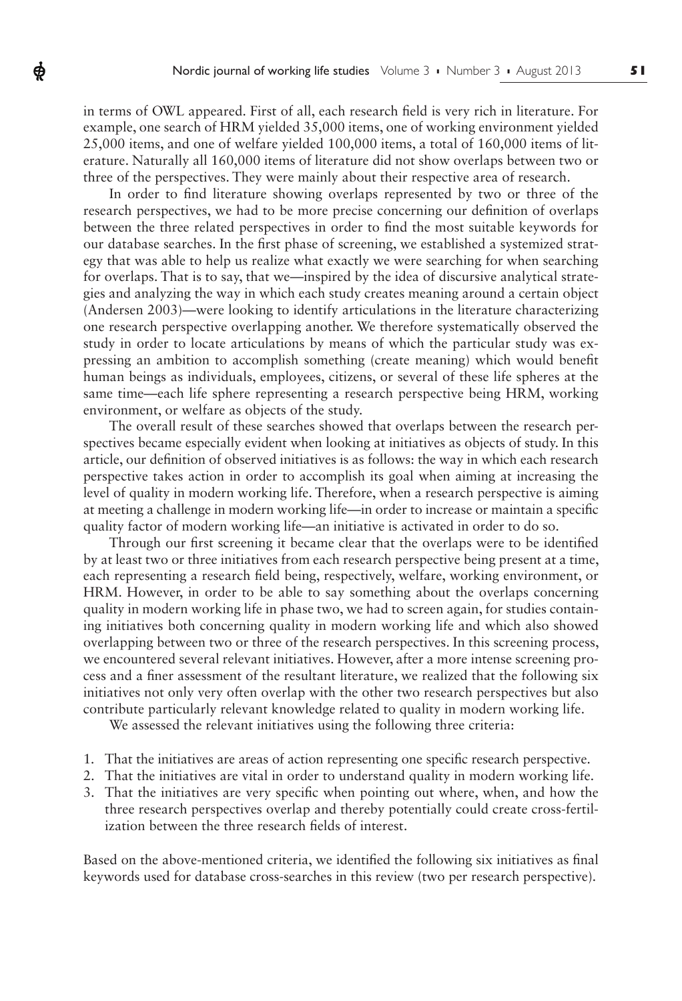in terms of OWL appeared. First of all, each research field is very rich in literature. For example, one search of HRM yielded 35,000 items, one of working environment yielded 25,000 items, and one of welfare yielded 100,000 items, a total of 160,000 items of literature. Naturally all 160,000 items of literature did not show overlaps between two or three of the perspectives. They were mainly about their respective area of research.

Ф

In order to find literature showing overlaps represented by two or three of the research perspectives, we had to be more precise concerning our definition of overlaps between the three related perspectives in order to find the most suitable keywords for our database searches. In the first phase of screening, we established a systemized strategy that was able to help us realize what exactly we were searching for when searching for overlaps. That is to say, that we—inspired by the idea of discursive analytical strategies and analyzing the way in which each study creates meaning around a certain object (Andersen 2003)—were looking to identify articulations in the literature characterizing one research perspective overlapping another. We therefore systematically observed the study in order to locate articulations by means of which the particular study was expressing an ambition to accomplish something (create meaning) which would benefit human beings as individuals, employees, citizens, or several of these life spheres at the same time—each life sphere representing a research perspective being HRM, working environment, or welfare as objects of the study.

The overall result of these searches showed that overlaps between the research perspectives became especially evident when looking at initiatives as objects of study. In this article, our definition of observed initiatives is as follows: the way in which each research perspective takes action in order to accomplish its goal when aiming at increasing the level of quality in modern working life. Therefore, when a research perspective is aiming at meeting a challenge in modern working life—in order to increase or maintain a specific quality factor of modern working life—an initiative is activated in order to do so.

Through our first screening it became clear that the overlaps were to be identified by at least two or three initiatives from each research perspective being present at a time, each representing a research field being, respectively, welfare, working environment, or HRM. However, in order to be able to say something about the overlaps concerning quality in modern working life in phase two, we had to screen again, for studies containing initiatives both concerning quality in modern working life and which also showed overlapping between two or three of the research perspectives. In this screening process, we encountered several relevant initiatives. However, after a more intense screening process and a finer assessment of the resultant literature, we realized that the following six initiatives not only very often overlap with the other two research perspectives but also contribute particularly relevant knowledge related to quality in modern working life.

We assessed the relevant initiatives using the following three criteria:

- 1. That the initiatives are areas of action representing one specific research perspective.
- 2. That the initiatives are vital in order to understand quality in modern working life.
- 3. That the initiatives are very specific when pointing out where, when, and how the three research perspectives overlap and thereby potentially could create cross-fertilization between the three research fields of interest.

Based on the above-mentioned criteria, we identified the following six initiatives as final keywords used for database cross-searches in this review (two per research perspective).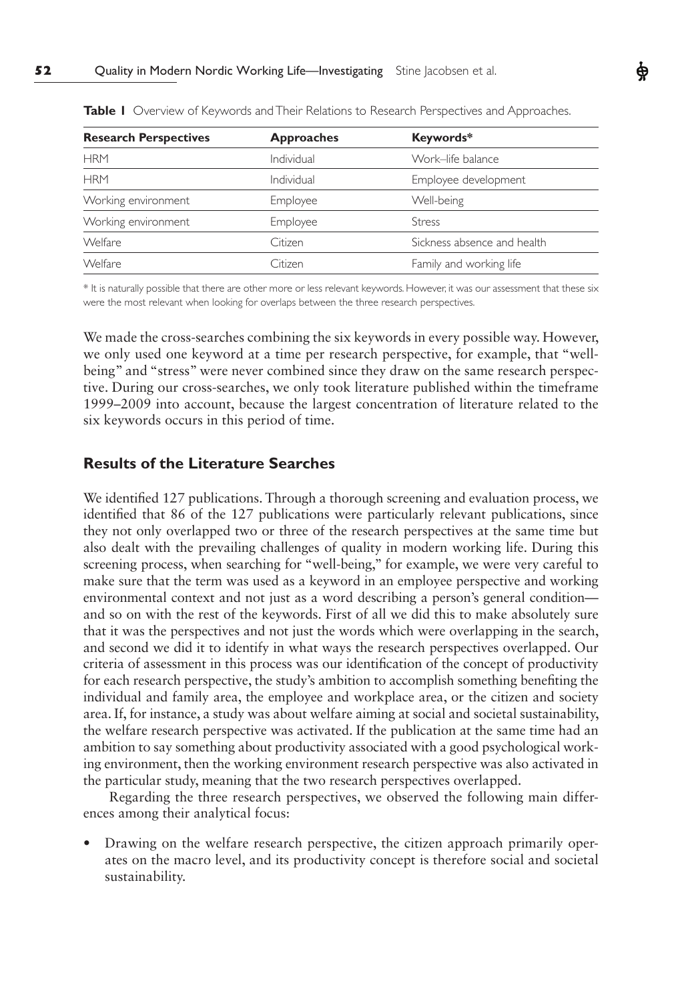| <b>Research Perspectives</b> | <b>Approaches</b> | Keywords*                   |
|------------------------------|-------------------|-----------------------------|
| <b>HRM</b>                   | Individual        | Work-life balance           |
| <b>HRM</b>                   | Individual        | Employee development        |
| Working environment          | Employee          | Well-being                  |
| Working environment          | Employee          | <b>Stress</b>               |
| <b>Welfare</b>               | Citizen           | Sickness absence and health |
| <b>Welfare</b>               | Citizen           | Family and working life     |

**Table I** Overview of Keywords and Their Relations to Research Perspectives and Approaches.

\* It is naturally possible that there are other more or less relevant keywords. However, it was our assessment that these six were the most relevant when looking for overlaps between the three research perspectives.

We made the cross-searches combining the six keywords in every possible way. However, we only used one keyword at a time per research perspective, for example, that "wellbeing" and "stress" were never combined since they draw on the same research perspective. During our cross-searches, we only took literature published within the timeframe 1999–2009 into account, because the largest concentration of literature related to the six keywords occurs in this period of time.

# **Results of the Literature Searches**

We identified 127 publications. Through a thorough screening and evaluation process, we identified that 86 of the 127 publications were particularly relevant publications, since they not only overlapped two or three of the research perspectives at the same time but also dealt with the prevailing challenges of quality in modern working life. During this screening process, when searching for "well-being," for example, we were very careful to make sure that the term was used as a keyword in an employee perspective and working environmental context and not just as a word describing a person's general condition and so on with the rest of the keywords. First of all we did this to make absolutely sure that it was the perspectives and not just the words which were overlapping in the search, and second we did it to identify in what ways the research perspectives overlapped. Our criteria of assessment in this process was our identification of the concept of productivity for each research perspective, the study's ambition to accomplish something benefiting the individual and family area, the employee and workplace area, or the citizen and society area. If, for instance, a study was about welfare aiming at social and societal sustainability, the welfare research perspective was activated. If the publication at the same time had an ambition to say something about productivity associated with a good psychological working environment, then the working environment research perspective was also activated in the particular study, meaning that the two research perspectives overlapped.

Regarding the three research perspectives, we observed the following main differences among their analytical focus:

• Drawing on the welfare research perspective, the citizen approach primarily operates on the macro level, and its productivity concept is therefore social and societal sustainability.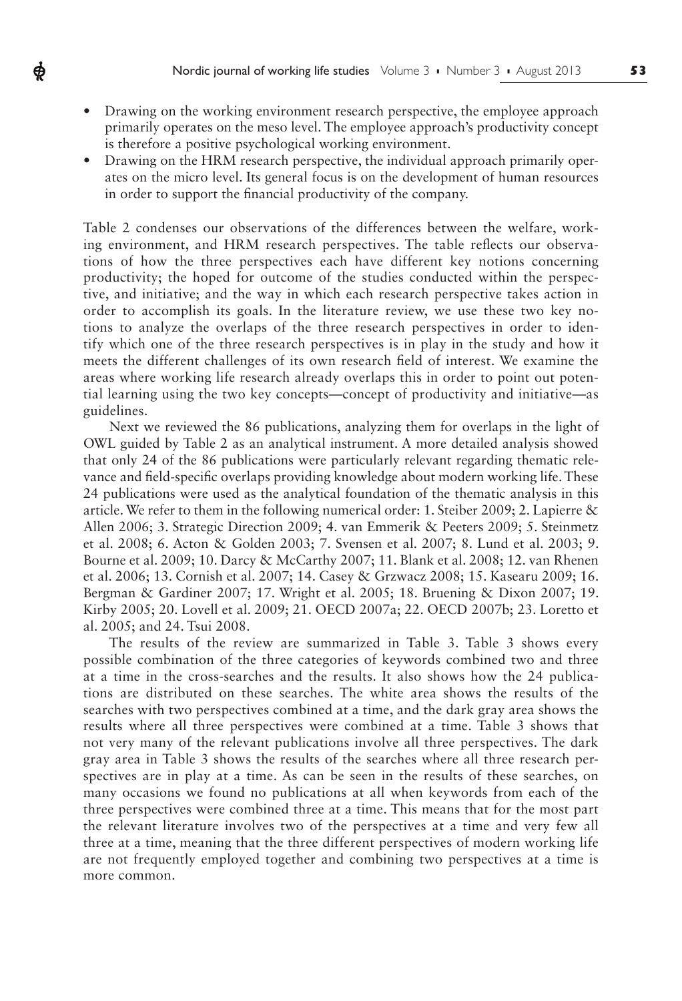• Drawing on the working environment research perspective, the employee approach primarily operates on the meso level. The employee approach's productivity concept is therefore a positive psychological working environment.

ф

• Drawing on the HRM research perspective, the individual approach primarily operates on the micro level. Its general focus is on the development of human resources in order to support the financial productivity of the company.

Table 2 condenses our observations of the differences between the welfare, working environment, and HRM research perspectives. The table reflects our observations of how the three perspectives each have different key notions concerning productivity; the hoped for outcome of the studies conducted within the perspective, and initiative; and the way in which each research perspective takes action in order to accomplish its goals. In the literature review, we use these two key notions to analyze the overlaps of the three research perspectives in order to identify which one of the three research perspectives is in play in the study and how it meets the different challenges of its own research field of interest. We examine the areas where working life research already overlaps this in order to point out potential learning using the two key concepts—concept of productivity and initiative—as guidelines.

Next we reviewed the 86 publications, analyzing them for overlaps in the light of OWL guided by Table 2 as an analytical instrument. A more detailed analysis showed that only 24 of the 86 publications were particularly relevant regarding thematic relevance and field-specific overlaps providing knowledge about modern working life. These 24 publications were used as the analytical foundation of the thematic analysis in this article. We refer to them in the following numerical order: 1. Steiber 2009; 2. Lapierre & Allen 2006; 3. Strategic Direction 2009; 4. van Emmerik & Peeters 2009; 5. Steinmetz et al. 2008; 6. Acton & Golden 2003; 7. Svensen et al. 2007; 8. Lund et al. 2003; 9. Bourne et al. 2009; 10. Darcy & McCarthy 2007; 11. Blank et al. 2008; 12. van Rhenen et al. 2006; 13. Cornish et al. 2007; 14. Casey & Grzwacz 2008; 15. Kasearu 2009; 16. Bergman & Gardiner 2007; 17. Wright et al. 2005; 18. Bruening & Dixon 2007; 19. Kirby 2005; 20. Lovell et al. 2009; 21. OECD 2007a; 22. OECD 2007b; 23. Loretto et al. 2005; and 24. Tsui 2008.

The results of the review are summarized in Table 3. Table 3 shows every possible combination of the three categories of keywords combined two and three at a time in the cross-searches and the results. It also shows how the 24 publications are distributed on these searches. The white area shows the results of the searches with two perspectives combined at a time, and the dark gray area shows the results where all three perspectives were combined at a time. Table 3 shows that not very many of the relevant publications involve all three perspectives. The dark gray area in Table 3 shows the results of the searches where all three research perspectives are in play at a time. As can be seen in the results of these searches, on many occasions we found no publications at all when keywords from each of the three perspectives were combined three at a time. This means that for the most part the relevant literature involves two of the perspectives at a time and very few all three at a time, meaning that the three different perspectives of modern working life are not frequently employed together and combining two perspectives at a time is more common.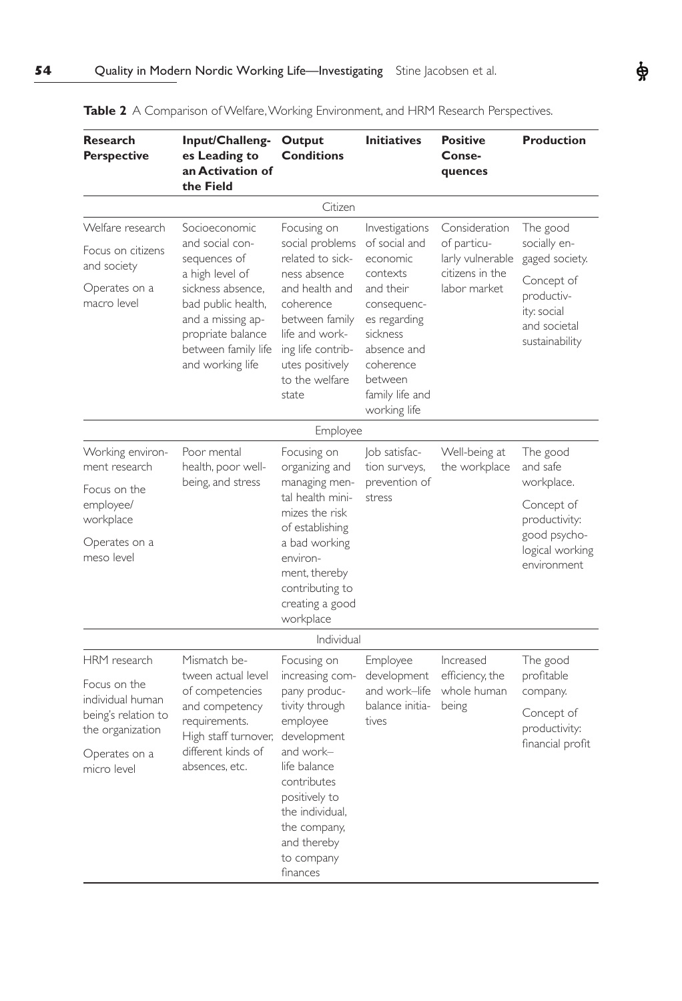| <b>Research</b><br><b>Perspective</b>                                                | Input/Challeng-<br>es Leading to<br>an Activation of<br>the Field                                                                                                                                   | Output<br><b>Conditions</b>                                                                                                                                                                              | <b>Initiatives</b>                                                                                                                                                                        | <b>Positive</b><br>Conse-<br>quences                                                | <b>Production</b>                                                                                                       |
|--------------------------------------------------------------------------------------|-----------------------------------------------------------------------------------------------------------------------------------------------------------------------------------------------------|----------------------------------------------------------------------------------------------------------------------------------------------------------------------------------------------------------|-------------------------------------------------------------------------------------------------------------------------------------------------------------------------------------------|-------------------------------------------------------------------------------------|-------------------------------------------------------------------------------------------------------------------------|
|                                                                                      |                                                                                                                                                                                                     | Citizen                                                                                                                                                                                                  |                                                                                                                                                                                           |                                                                                     |                                                                                                                         |
| Welfare research<br>Focus on citizens<br>and society<br>Operates on a<br>macro level | Socioeconomic<br>and social con-<br>sequences of<br>a high level of<br>sickness absence,<br>bad public health,<br>and a missing ap-<br>propriate balance<br>between family life<br>and working life | Focusing on<br>social problems<br>related to sick-<br>ness absence<br>and health and<br>coherence<br>between family<br>life and work-<br>ing life contrib-<br>utes positively<br>to the welfare<br>state | Investigations<br>of social and<br>economic<br>contexts<br>and their<br>consequenc-<br>es regarding<br>sickness<br>absence and<br>coherence<br>between<br>family life and<br>working life | Consideration<br>of particu-<br>larly vulnerable<br>citizens in the<br>labor market | The good<br>socially en-<br>gaged society.<br>Concept of<br>productiv-<br>ity: social<br>and societal<br>sustainability |
|                                                                                      |                                                                                                                                                                                                     | Employee                                                                                                                                                                                                 |                                                                                                                                                                                           |                                                                                     |                                                                                                                         |
| Working environ-<br>ment research                                                    | Poor mental<br>health, poor well-<br>being, and stress                                                                                                                                              | Focusing on<br>organizing and<br>managing men-                                                                                                                                                           | Job satisfac-<br>tion surveys,<br>prevention of                                                                                                                                           | Well-being at<br>the workplace                                                      | The good<br>and safe<br>workplace.                                                                                      |
| Focus on the<br>employee/<br>workplace                                               |                                                                                                                                                                                                     | tal health mini-<br>mizes the risk<br>of establishing                                                                                                                                                    | stress                                                                                                                                                                                    |                                                                                     | Concept of<br>productivity:                                                                                             |
| Operates on a<br>meso level                                                          |                                                                                                                                                                                                     | a bad working<br>environ-<br>ment, thereby<br>contributing to<br>creating a good<br>workplace                                                                                                            |                                                                                                                                                                                           |                                                                                     | good psycho-<br>logical working<br>environment                                                                          |
|                                                                                      |                                                                                                                                                                                                     | Individual                                                                                                                                                                                               |                                                                                                                                                                                           |                                                                                     |                                                                                                                         |
| HRM research<br>Focus on the                                                         | Mismatch be-<br>tween actual level<br>of competencies                                                                                                                                               | Focusing on<br>increasing com-<br>pany produc-                                                                                                                                                           | Employee<br>development<br>and work-life                                                                                                                                                  | Increased<br>efficiency, the<br>whole human                                         | The good<br>profitable<br>company.                                                                                      |
| individual human<br>being's relation to<br>the organization                          | and competency<br>requirements.<br>High staff turnover,                                                                                                                                             | tivity through<br>employee<br>development                                                                                                                                                                | balance initia-<br>tives                                                                                                                                                                  | being                                                                               | Concept of<br>productivity:<br>financial profit                                                                         |
| Operates on a<br>micro level                                                         | different kinds of<br>absences, etc.                                                                                                                                                                | and work–<br>life balance<br>contributes<br>positively to<br>the individual,<br>the company,<br>and thereby<br>to company<br>finances                                                                    |                                                                                                                                                                                           |                                                                                     |                                                                                                                         |

**Table 2** A Comparison of Welfare, Working Environment, and HRM Research Perspectives.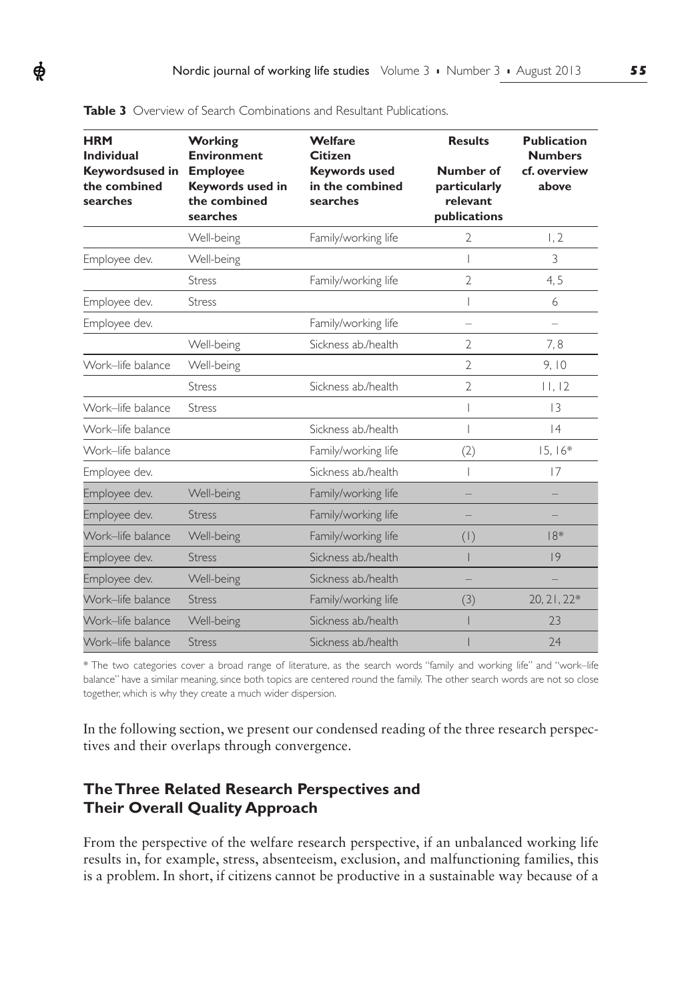| <b>HRM</b><br><b>Individual</b>                    | <b>Working</b><br><b>Environment</b>                            | Welfare<br><b>Citizen</b>                           | <b>Results</b>                                        | <b>Publication</b><br><b>Numbers</b> |
|----------------------------------------------------|-----------------------------------------------------------------|-----------------------------------------------------|-------------------------------------------------------|--------------------------------------|
| <b>Keywordsused in</b><br>the combined<br>searches | <b>Employee</b><br>Keywords used in<br>the combined<br>searches | <b>Keywords used</b><br>in the combined<br>searches | Number of<br>particularly<br>relevant<br>publications | cf. overview<br>above                |
|                                                    | Well-being                                                      | Family/working life                                 | 2                                                     | 1, 2                                 |
| Employee dev.                                      | Well-being                                                      |                                                     |                                                       | 3                                    |
|                                                    | <b>Stress</b>                                                   | Family/working life                                 | $\overline{2}$                                        | 4, 5                                 |
| Employee dev.                                      | <b>Stress</b>                                                   |                                                     |                                                       | 6                                    |
| Employee dev.                                      |                                                                 | Family/working life                                 | $\overline{\phantom{0}}$                              | $\overline{\phantom{0}}$             |
|                                                    | Well-being                                                      | Sickness ab./health                                 | 2                                                     | 7,8                                  |
| Work-life balance                                  | Well-being                                                      |                                                     | $\overline{2}$                                        | 9,10                                 |
|                                                    | <b>Stress</b>                                                   | Sickness ab./health                                 | $\overline{2}$                                        | 11, 12                               |
| Work-life balance                                  | <b>Stress</b>                                                   |                                                     |                                                       | 13                                   |
| Work-life balance                                  |                                                                 | Sickness ab./health                                 |                                                       | 4                                    |
| Work-life balance                                  |                                                                 | Family/working life                                 | (2)                                                   | $15.16*$                             |
| Employee dev.                                      |                                                                 | Sickness ab./health                                 |                                                       | 17                                   |
| Employee dev.                                      | Well-being                                                      | Family/working life                                 |                                                       |                                      |
| Employee dev.                                      | <b>Stress</b>                                                   | Family/working life                                 |                                                       |                                      |
| Work-life balance                                  | Well-being                                                      | Family/working life                                 | (1)                                                   | $18*$                                |
| Employee dev.                                      | <b>Stress</b>                                                   | Sickness ab./health                                 |                                                       | 9                                    |
| Employee dev.                                      | Well-being                                                      | Sickness ab./health                                 |                                                       |                                      |
| Work-life balance                                  | <b>Stress</b>                                                   | Family/working life                                 | (3)                                                   | 20, 21, 22*                          |
| Work-life balance                                  | Well-being                                                      | Sickness ab./health                                 |                                                       | 23                                   |
| Work-life balance                                  | <b>Stress</b>                                                   | Sickness ab./health                                 |                                                       | 24                                   |

**Table 3** Overview of Search Combinations and Resultant Publications.

ф

\* The two categories cover a broad range of literature, as the search words "family and working life" and "work–life balance" have a similar meaning, since both topics are centered round the family. The other search words are not so close together, which is why they create a much wider dispersion.

In the following section, we present our condensed reading of the three research perspectives and their overlaps through convergence.

# **The Three Related Research Perspectives and Their Overall Quality Approach**

From the perspective of the welfare research perspective, if an unbalanced working life results in, for example, stress, absenteeism, exclusion, and malfunctioning families, this is a problem. In short, if citizens cannot be productive in a sustainable way because of a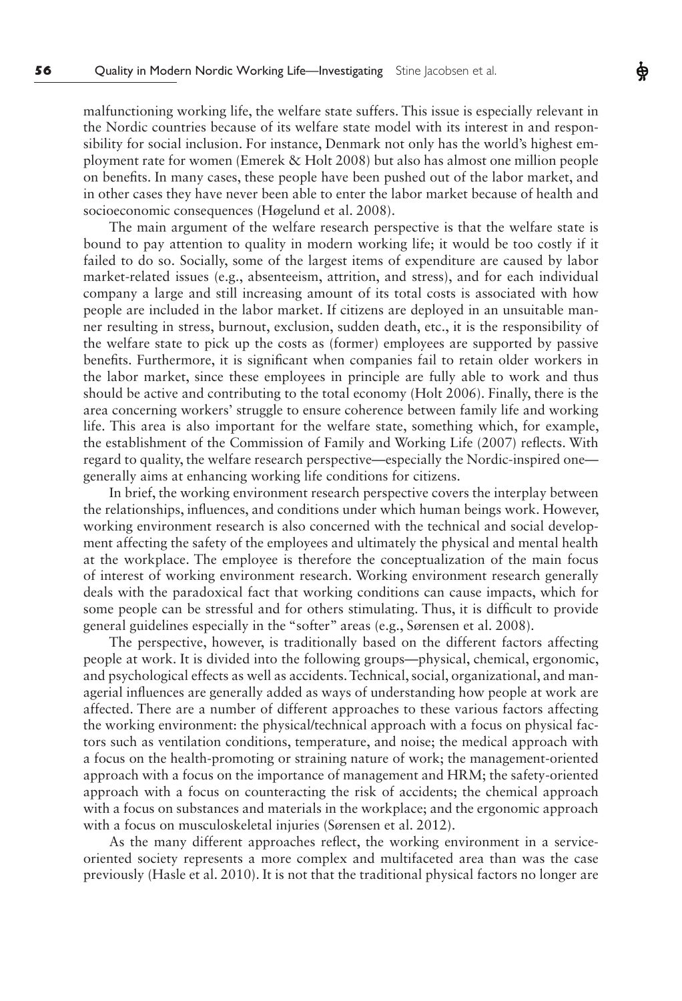malfunctioning working life, the welfare state suffers. This issue is especially relevant in the Nordic countries because of its welfare state model with its interest in and responsibility for social inclusion. For instance, Denmark not only has the world's highest employment rate for women (Emerek & Holt 2008) but also has almost one million people on benefits. In many cases, these people have been pushed out of the labor market, and in other cases they have never been able to enter the labor market because of health and socioeconomic consequences (Høgelund et al. 2008).

Ф

The main argument of the welfare research perspective is that the welfare state is bound to pay attention to quality in modern working life; it would be too costly if it failed to do so. Socially, some of the largest items of expenditure are caused by labor market-related issues (e.g., absenteeism, attrition, and stress), and for each individual company a large and still increasing amount of its total costs is associated with how people are included in the labor market. If citizens are deployed in an unsuitable manner resulting in stress, burnout, exclusion, sudden death, etc., it is the responsibility of the welfare state to pick up the costs as (former) employees are supported by passive benefits. Furthermore, it is significant when companies fail to retain older workers in the labor market, since these employees in principle are fully able to work and thus should be active and contributing to the total economy (Holt 2006). Finally, there is the area concerning workers' struggle to ensure coherence between family life and working life. This area is also important for the welfare state, something which, for example, the establishment of the Commission of Family and Working Life (2007) reflects. With regard to quality, the welfare research perspective—especially the Nordic-inspired one generally aims at enhancing working life conditions for citizens.

In brief, the working environment research perspective covers the interplay between the relationships, influences, and conditions under which human beings work. However, working environment research is also concerned with the technical and social development affecting the safety of the employees and ultimately the physical and mental health at the workplace. The employee is therefore the conceptualization of the main focus of interest of working environment research. Working environment research generally deals with the paradoxical fact that working conditions can cause impacts, which for some people can be stressful and for others stimulating. Thus, it is difficult to provide general guidelines especially in the "softer" areas (e.g., Sørensen et al. 2008).

The perspective, however, is traditionally based on the different factors affecting people at work. It is divided into the following groups—physical, chemical, ergonomic, and psychological effects as well as accidents. Technical, social, organizational, and managerial influences are generally added as ways of understanding how people at work are affected. There are a number of different approaches to these various factors affecting the working environment: the physical/technical approach with a focus on physical factors such as ventilation conditions, temperature, and noise; the medical approach with a focus on the health-promoting or straining nature of work; the management-oriented approach with a focus on the importance of management and HRM; the safety-oriented approach with a focus on counteracting the risk of accidents; the chemical approach with a focus on substances and materials in the workplace; and the ergonomic approach with a focus on musculoskeletal injuries (Sørensen et al. 2012).

As the many different approaches reflect, the working environment in a serviceoriented society represents a more complex and multifaceted area than was the case previously (Hasle et al. 2010). It is not that the traditional physical factors no longer are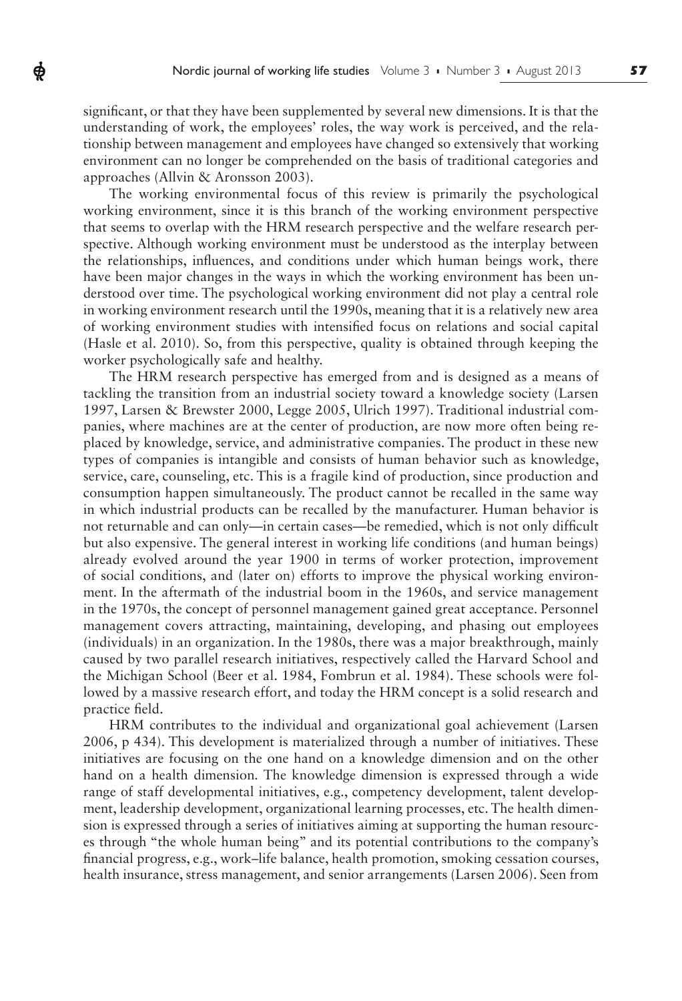significant, or that they have been supplemented by several new dimensions. It is that the understanding of work, the employees' roles, the way work is perceived, and the relationship between management and employees have changed so extensively that working environment can no longer be comprehended on the basis of traditional categories and approaches (Allvin & Aronsson 2003).

ф

The working environmental focus of this review is primarily the psychological working environment, since it is this branch of the working environment perspective that seems to overlap with the HRM research perspective and the welfare research perspective. Although working environment must be understood as the interplay between the relationships, influences, and conditions under which human beings work, there have been major changes in the ways in which the working environment has been understood over time. The psychological working environment did not play a central role in working environment research until the 1990s, meaning that it is a relatively new area of working environment studies with intensified focus on relations and social capital (Hasle et al. 2010). So, from this perspective, quality is obtained through keeping the worker psychologically safe and healthy.

The HRM research perspective has emerged from and is designed as a means of tackling the transition from an industrial society toward a knowledge society (Larsen 1997, Larsen & Brewster 2000, Legge 2005, Ulrich 1997). Traditional industrial companies, where machines are at the center of production, are now more often being replaced by knowledge, service, and administrative companies. The product in these new types of companies is intangible and consists of human behavior such as knowledge, service, care, counseling, etc. This is a fragile kind of production, since production and consumption happen simultaneously. The product cannot be recalled in the same way in which industrial products can be recalled by the manufacturer. Human behavior is not returnable and can only—in certain cases—be remedied, which is not only difficult but also expensive. The general interest in working life conditions (and human beings) already evolved around the year 1900 in terms of worker protection, improvement of social conditions, and (later on) efforts to improve the physical working environment. In the aftermath of the industrial boom in the 1960s, and service management in the 1970s, the concept of personnel management gained great acceptance. Personnel management covers attracting, maintaining, developing, and phasing out employees (individuals) in an organization. In the 1980s, there was a major breakthrough, mainly caused by two parallel research initiatives, respectively called the Harvard School and the Michigan School (Beer et al. 1984, Fombrun et al. 1984). These schools were followed by a massive research effort, and today the HRM concept is a solid research and practice field.

HRM contributes to the individual and organizational goal achievement (Larsen 2006, p 434). This development is materialized through a number of initiatives. These initiatives are focusing on the one hand on a knowledge dimension and on the other hand on a health dimension*.* The knowledge dimension is expressed through a wide range of staff developmental initiatives, e.g., competency development, talent development, leadership development, organizational learning processes, etc. The health dimension is expressed through a series of initiatives aiming at supporting the human resources through "the whole human being" and its potential contributions to the company's financial progress, e.g., work–life balance, health promotion, smoking cessation courses, health insurance, stress management, and senior arrangements (Larsen 2006). Seen from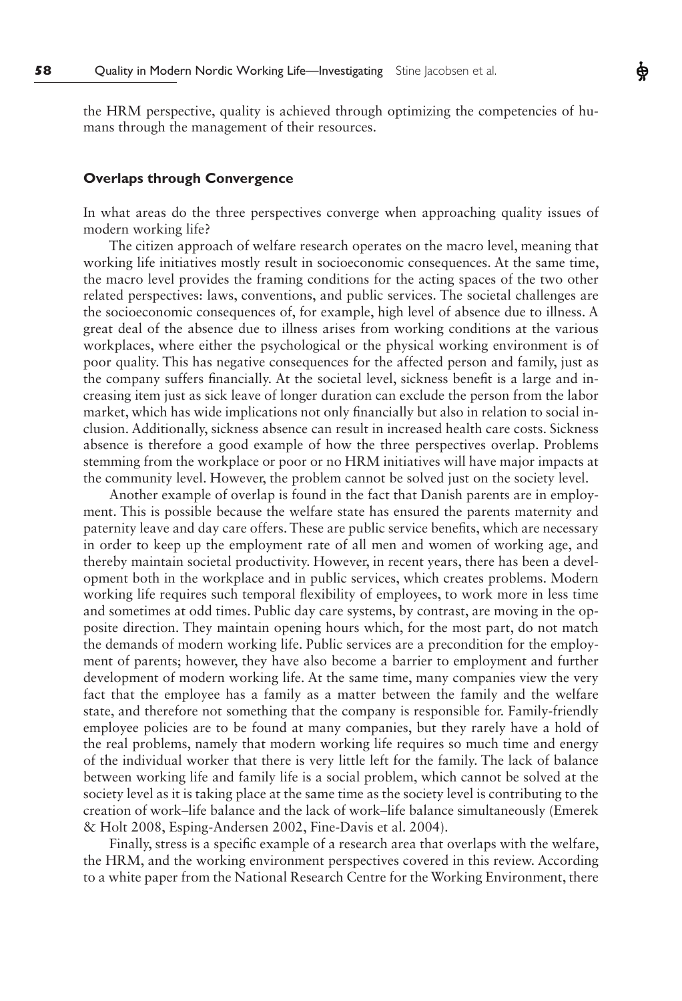the HRM perspective, quality is achieved through optimizing the competencies of humans through the management of their resources.

## **Overlaps through Convergence**

In what areas do the three perspectives converge when approaching quality issues of modern working life?

The citizen approach of welfare research operates on the macro level, meaning that working life initiatives mostly result in socioeconomic consequences. At the same time, the macro level provides the framing conditions for the acting spaces of the two other related perspectives: laws, conventions, and public services. The societal challenges are the socioeconomic consequences of, for example, high level of absence due to illness. A great deal of the absence due to illness arises from working conditions at the various workplaces, where either the psychological or the physical working environment is of poor quality. This has negative consequences for the affected person and family, just as the company suffers financially. At the societal level, sickness benefit is a large and increasing item just as sick leave of longer duration can exclude the person from the labor market, which has wide implications not only financially but also in relation to social inclusion. Additionally, sickness absence can result in increased health care costs. Sickness absence is therefore a good example of how the three perspectives overlap. Problems stemming from the workplace or poor or no HRM initiatives will have major impacts at the community level. However, the problem cannot be solved just on the society level.

Another example of overlap is found in the fact that Danish parents are in employment. This is possible because the welfare state has ensured the parents maternity and paternity leave and day care offers. These are public service benefits, which are necessary in order to keep up the employment rate of all men and women of working age, and thereby maintain societal productivity. However, in recent years, there has been a development both in the workplace and in public services, which creates problems. Modern working life requires such temporal flexibility of employees, to work more in less time and sometimes at odd times. Public day care systems, by contrast, are moving in the opposite direction. They maintain opening hours which, for the most part, do not match the demands of modern working life. Public services are a precondition for the employment of parents; however, they have also become a barrier to employment and further development of modern working life. At the same time, many companies view the very fact that the employee has a family as a matter between the family and the welfare state, and therefore not something that the company is responsible for. Family-friendly employee policies are to be found at many companies, but they rarely have a hold of the real problems, namely that modern working life requires so much time and energy of the individual worker that there is very little left for the family. The lack of balance between working life and family life is a social problem, which cannot be solved at the society level as it is taking place at the same time as the society level is contributing to the creation of work–life balance and the lack of work–life balance simultaneously (Emerek & Holt 2008, Esping-Andersen 2002, Fine-Davis et al. 2004).

Finally, stress is a specific example of a research area that overlaps with the welfare, the HRM, and the working environment perspectives covered in this review. According to a white paper from the National Research Centre for the Working Environment, there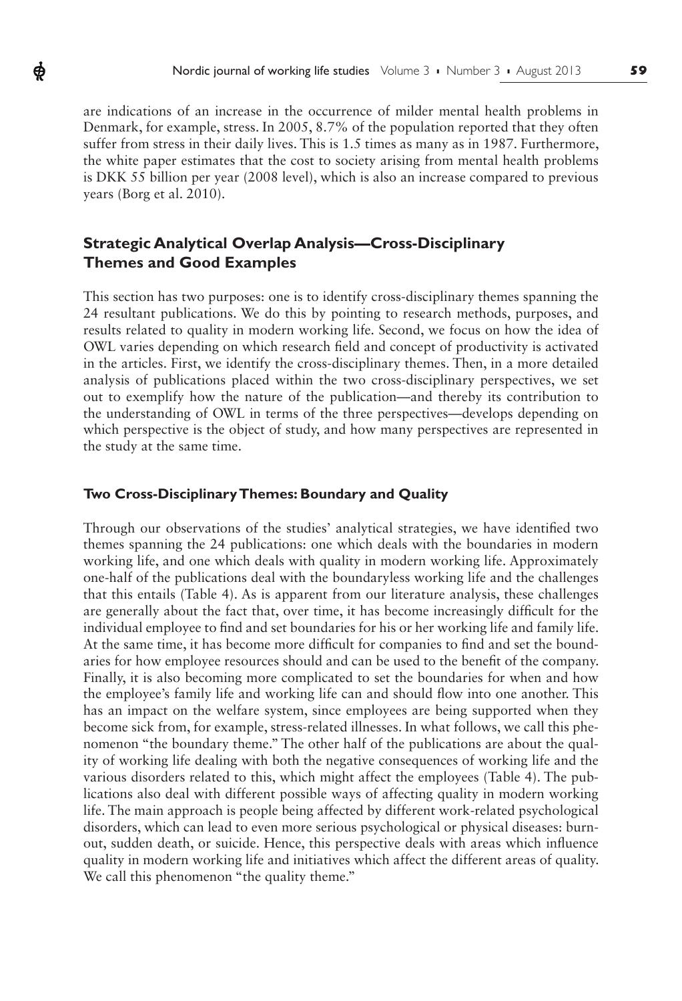are indications of an increase in the occurrence of milder mental health problems in Denmark, for example, stress. In 2005, 8.7% of the population reported that they often suffer from stress in their daily lives. This is 1.5 times as many as in 1987. Furthermore, the white paper estimates that the cost to society arising from mental health problems is DKK 55 billion per year (2008 level), which is also an increase compared to previous years (Borg et al. 2010).

# **Strategic Analytical Overlap Analysis—Cross-Disciplinary Themes and Good Examples**

ф

This section has two purposes: one is to identify cross-disciplinary themes spanning the 24 resultant publications. We do this by pointing to research methods, purposes, and results related to quality in modern working life*.* Second, we focus on how the idea of OWL varies depending on which research field and concept of productivity is activated in the articles. First, we identify the cross-disciplinary themes. Then, in a more detailed analysis of publications placed within the two cross-disciplinary perspectives, we set out to exemplify how the nature of the publication—and thereby its contribution to the understanding of OWL in terms of the three perspectives—develops depending on which perspective is the object of study, and how many perspectives are represented in the study at the same time.

#### **Two Cross-Disciplinary Themes: Boundary and Quality**

Through our observations of the studies' analytical strategies, we have identified two themes spanning the 24 publications: one which deals with the boundaries in modern working life, and one which deals with quality in modern working life. Approximately one-half of the publications deal with the boundaryless working life and the challenges that this entails (Table 4). As is apparent from our literature analysis, these challenges are generally about the fact that, over time, it has become increasingly difficult for the individual employee to find and set boundaries for his or her working life and family life. At the same time, it has become more difficult for companies to find and set the boundaries for how employee resources should and can be used to the benefit of the company. Finally, it is also becoming more complicated to set the boundaries for when and how the employee's family life and working life can and should flow into one another. This has an impact on the welfare system, since employees are being supported when they become sick from, for example, stress-related illnesses. In what follows, we call this phenomenon "the boundary theme." The other half of the publications are about the quality of working life dealing with both the negative consequences of working life and the various disorders related to this, which might affect the employees (Table 4). The publications also deal with different possible ways of affecting quality in modern working life. The main approach is people being affected by different work-related psychological disorders, which can lead to even more serious psychological or physical diseases: burnout, sudden death, or suicide. Hence, this perspective deals with areas which influence quality in modern working life and initiatives which affect the different areas of quality. We call this phenomenon "the quality theme."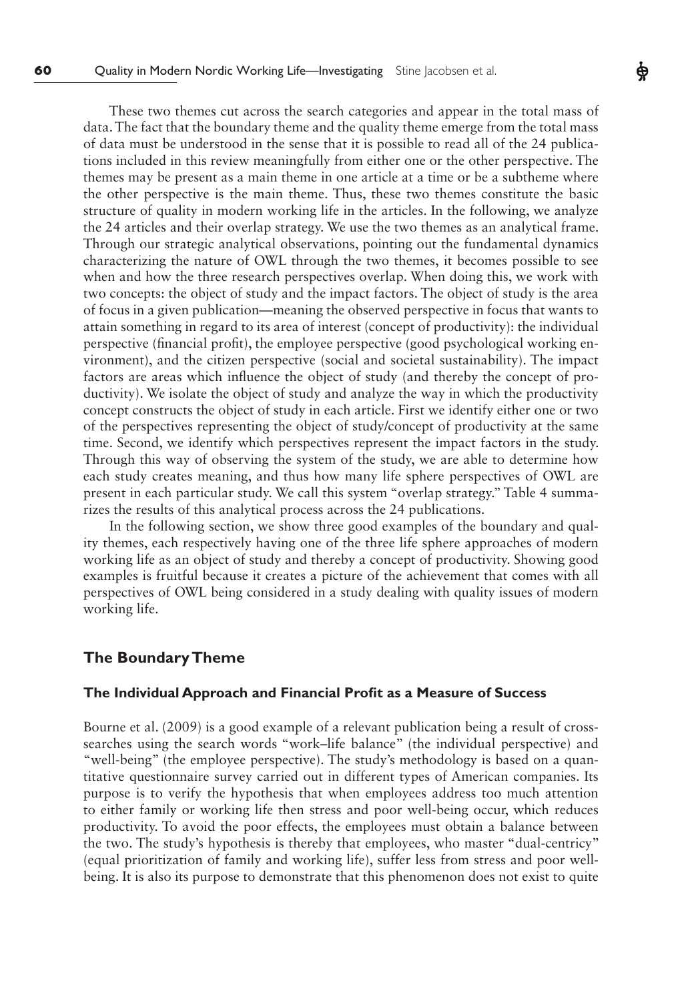These two themes cut across the search categories and appear in the total mass of data. The fact that the boundary theme and the quality theme emerge from the total mass of data must be understood in the sense that it is possible to read all of the 24 publications included in this review meaningfully from either one or the other perspective. The themes may be present as a main theme in one article at a time or be a subtheme where the other perspective is the main theme. Thus, these two themes constitute the basic structure of quality in modern working life in the articles. In the following, we analyze the 24 articles and their overlap strategy. We use the two themes as an analytical frame. Through our strategic analytical observations, pointing out the fundamental dynamics characterizing the nature of OWL through the two themes, it becomes possible to see when and how the three research perspectives overlap. When doing this, we work with two concepts: the object of study and the impact factors. The object of study is the area of focus in a given publication—meaning the observed perspective in focus that wants to attain something in regard to its area of interest (concept of productivity): the individual perspective (financial profit), the employee perspective (good psychological working environment), and the citizen perspective (social and societal sustainability). The impact factors are areas which influence the object of study (and thereby the concept of productivity). We isolate the object of study and analyze the way in which the productivity concept constructs the object of study in each article. First we identify either one or two of the perspectives representing the object of study/concept of productivity at the same time. Second, we identify which perspectives represent the impact factors in the study. Through this way of observing the system of the study, we are able to determine how each study creates meaning, and thus how many life sphere perspectives of OWL are present in each particular study. We call this system "overlap strategy." Table 4 summarizes the results of this analytical process across the 24 publications.

In the following section, we show three good examples of the boundary and quality themes, each respectively having one of the three life sphere approaches of modern working life as an object of study and thereby a concept of productivity. Showing good examples is fruitful because it creates a picture of the achievement that comes with all perspectives of OWL being considered in a study dealing with quality issues of modern working life.

## **The Boundary Theme**

#### **The Individual Approach and Financial Profit as a Measure of Success**

Bourne et al. (2009) is a good example of a relevant publication being a result of crosssearches using the search words "work–life balance" (the individual perspective) and "well-being" (the employee perspective). The study's methodology is based on a quantitative questionnaire survey carried out in different types of American companies. Its purpose is to verify the hypothesis that when employees address too much attention to either family or working life then stress and poor well-being occur, which reduces productivity. To avoid the poor effects, the employees must obtain a balance between the two. The study's hypothesis is thereby that employees, who master "dual-centricy" (equal prioritization of family and working life), suffer less from stress and poor wellbeing. It is also its purpose to demonstrate that this phenomenon does not exist to quite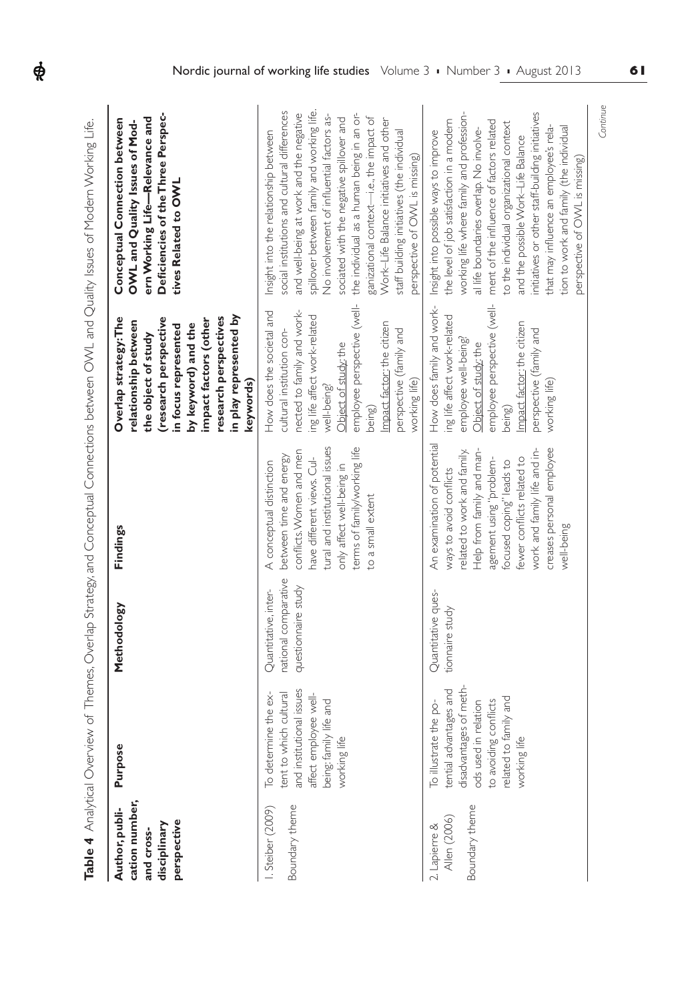| cation number,<br>Author, publi-<br>perspective<br>disciplinary<br>and cross- | یہ<br>Purpos                                                                                                                                                        | Methodology                                                         | Findings                                                                                                                                                                                                                                                                          | in play represented by<br>research perspectives<br>Overlap strategy: The<br>(research perspective<br>impact factors (other<br>relationship between<br>by keyword) and the<br>in focus represented<br>the object of study<br>keywords)                                         | Deficiencies of the Three Perspec-<br>ern Working Life-Relevance and<br>Conceptual Connection between<br>OWL and Quality Issues of Mod-<br>tives Related to OWL                                                                                                                                                                                                                                                                                                                             |
|-------------------------------------------------------------------------------|---------------------------------------------------------------------------------------------------------------------------------------------------------------------|---------------------------------------------------------------------|-----------------------------------------------------------------------------------------------------------------------------------------------------------------------------------------------------------------------------------------------------------------------------------|-------------------------------------------------------------------------------------------------------------------------------------------------------------------------------------------------------------------------------------------------------------------------------|---------------------------------------------------------------------------------------------------------------------------------------------------------------------------------------------------------------------------------------------------------------------------------------------------------------------------------------------------------------------------------------------------------------------------------------------------------------------------------------------|
| Boundary theme<br>Steiber (2009)                                              | and institutional issues<br>tent to which cultural<br>To determine the ex-<br>affect employee well-<br>being: family life and<br>≝<br>working                       | national comparative<br>questionnaire study<br>Quantitative, inter- | tural and institutional issues<br>terms of family/working life<br>conflicts. Women and men<br>between time and energy<br>have different views. Cul-<br>A conceptual distinction<br>only affect well-being in<br>to a small extent                                                 | employee perspective (well-<br>nected to family and work-<br>How does the societal and<br>ing life affect work-related<br>Impact factor: the citizen<br>cultural institution con-<br>perspective (family and<br>Object of study the<br>working life)<br>well-being?<br>being) | spillover between family and working life.<br>social institutions and cultural differences<br>and well-being at work and the negative<br>the individual as a human being in an or-<br>No involvement of influential factors as-<br>ganizational context-i.e., the impact of<br>sociated with the negative spillover and<br>Work-Life Balance initiatives and other<br>Insight into the relationship between<br>staff building initiatives (the individual<br>perspective of OWL is missing) |
| Boundary theme<br>Allen (2006)<br>2. Lapierre &                               | disadvantages of meth-<br>tential advantages and<br>related to family and<br>to avoiding conflicts<br>ods used in relation<br>To illustrate the po-<br>≝<br>working | Quantitative ques-<br>tionnaire study                               | An examination of potential<br>creases personal employee<br>work and family life and in-<br>Help from family and man-<br>related to work and family<br>fewer conflicts related to<br>agement using "problem-<br>focused coping" leads to<br>ways to avoid conflicts<br>well-being | employee perspective (well-<br>How does family and work-<br>ing life affect work-related<br>Impact factor: the citizen<br>perspective (family and<br>employee well-being?<br>Object of study: the<br>working life)<br>being)                                                  | working life where family and profession-<br>initiatives or other staff-building initiatives<br>the level of job satisfaction in a modem<br>ment of the influence of factors related<br>to the individual organizational context<br>tion to work and family (the individual<br>that may influence an employee's rela-<br>al life boundaries overlap. No involve-<br>Insight into possible ways to improve<br>and the possible Work-Life Balance<br>perspective of OWL is missing)           |

Table 4 Analytical Overview of Themes, Overlap Strategy, and Conceptual Connections between OWL and Quality Issues of Modern Working Life. **Table 4** Analytical Overview of Themes, Overlap Strategy, and Conceptual Connections between OWL and Quality Issues of Modern Working Life.

 $\phi$ 

*Continue*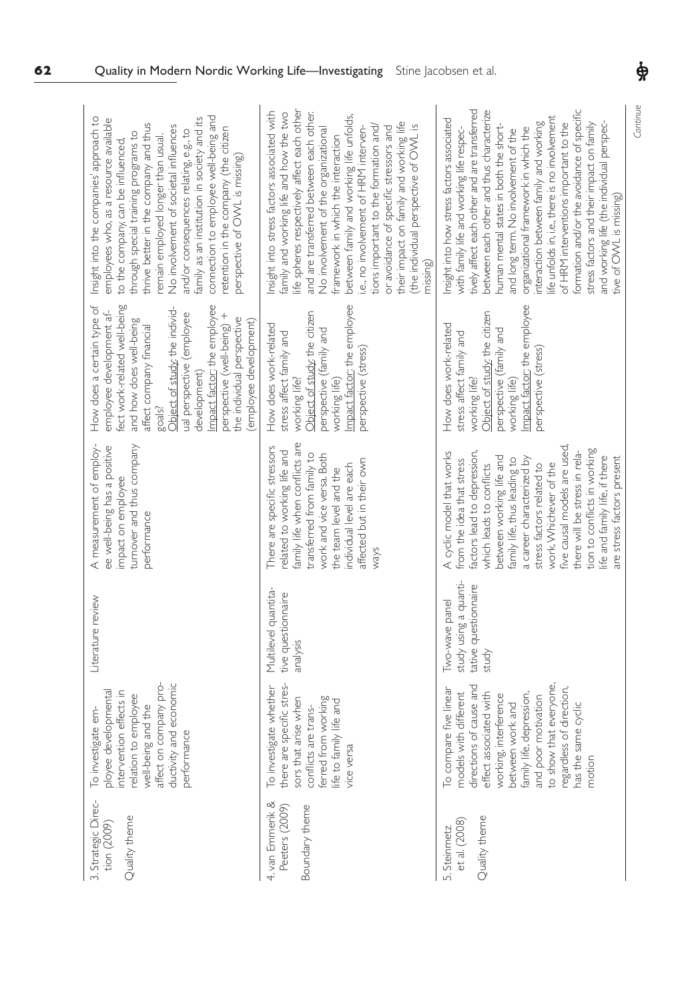| Quality in Modern Nordic Working Life-Investigating                                                                                                                                                                                                                                                                                                                                                                                                                                                  |                                                                                                                                                                                                                                                                                                                                                                                                                                                                                                                                                             | Stine Jacobsen et al.                                                                                                                                                                                                                                                                                                                                                                                                                                                                                                                                                                                                 | ф        |
|------------------------------------------------------------------------------------------------------------------------------------------------------------------------------------------------------------------------------------------------------------------------------------------------------------------------------------------------------------------------------------------------------------------------------------------------------------------------------------------------------|-------------------------------------------------------------------------------------------------------------------------------------------------------------------------------------------------------------------------------------------------------------------------------------------------------------------------------------------------------------------------------------------------------------------------------------------------------------------------------------------------------------------------------------------------------------|-----------------------------------------------------------------------------------------------------------------------------------------------------------------------------------------------------------------------------------------------------------------------------------------------------------------------------------------------------------------------------------------------------------------------------------------------------------------------------------------------------------------------------------------------------------------------------------------------------------------------|----------|
| connection to employee well-being and<br>Insight into the companies' approach to<br>family as an institution in society and its<br>employees who, as a resource available<br>thrive better in the company and thus<br>No involvement of societal influences<br>retention in the company (the citizen<br>and/or consequences relating, e.g., to<br>through special training programs to<br>remain employed longer than usual.<br>to the company, can be influenced,<br>perspective of OWL is missing) | life spheres respectively affect each other<br>nsight into stress factors associated with<br>family and working life and how the two<br>and are transferred between each other.<br>between family and working life unfolds,<br>their impact on family and working life<br>tions important to the formation and/<br>. $\underline{\circ}$<br>i.e., no involvement of HRM interven-<br>or avoidance of specific stressors and<br>No involvement of the organizational<br>(the individual perspective of OWL<br>framework in which the interaction<br>missing) | tively affect each other and are transferred<br>formation and/or the avoidance of specific<br>between each other and thus characterize<br>ife unfolds in, i.e., there is no involvement<br>Insight into how stress factors associated<br>stress factors and their impact on family<br>interaction between family and working<br>of HRM interventions important to the<br>and working life (the individual perspec-<br>human mental states in both the short-<br>with family life and working life respec-<br>organizational framework in which the<br>and long term. No involvement of the<br>tive of OWL is missing) | Continue |
| fect work-related well-being<br>Impact factor: the employee<br>How does a certain type of<br>Object of study: the individ-<br>employee development af-<br>perspective (well-being) +<br>ual perspective (employee<br>the individual perspective<br>and how does well-being<br>(employee development)<br>affect company financial<br>development)<br>goals?                                                                                                                                           | mpact factor: the employee<br>Object of study; the citizen<br>How does work-related<br>perspective (family and<br>stress affect family and<br>perspective (stress)<br>working life?<br>working life)                                                                                                                                                                                                                                                                                                                                                        | mpact factor: the employee<br>Object of study; the citizen<br>How does work-related<br>perspective (family and<br>stress affect family and<br>perspective (stress)<br>working life?<br>working life)                                                                                                                                                                                                                                                                                                                                                                                                                  |          |
| A measurement of employ-<br>turnover and thus company<br>ee well-being has a positive<br>impact on employee<br>performance                                                                                                                                                                                                                                                                                                                                                                           | amily life when conflicts are<br>There are specific stressors<br>related to working life and<br>transferred from family to<br>work and vice versa. Both<br>affected but in their own<br>individual level are each<br>the team level and the<br>ways                                                                                                                                                                                                                                                                                                         | Tive causal models are used,<br>tion to conflicts in working<br>there will be stress in rela-<br>A cyclic model that works<br>factors lead to depression,<br>between working life and<br>life and family life, if there<br>are stress factors present<br>a career characterized by<br>family life, thus leading to<br>from the idea that stress<br>work. Whichever of the<br>which leads to conflicts<br>stress factors related to                                                                                                                                                                                    |          |
| Literature review                                                                                                                                                                                                                                                                                                                                                                                                                                                                                    | Multilevel quantita-<br>tive questionnaire<br>analysis                                                                                                                                                                                                                                                                                                                                                                                                                                                                                                      | study using a quanti-<br>tative questionnaire<br>Two-wave panel<br>study                                                                                                                                                                                                                                                                                                                                                                                                                                                                                                                                              |          |
| pro-<br>ductivity and economic<br>intervention effects in<br>ployee developmental<br>relation to employee<br>well-being and the<br>affect on company<br>To investigate em-<br>performance                                                                                                                                                                                                                                                                                                            | there are specific stres-<br>To investigate whether<br>sors that arise when<br>ife to family life and<br>life to family life and<br>conflicts are trans-<br>ferred from workin<br>vice versa                                                                                                                                                                                                                                                                                                                                                                | to show that everyone,<br>directions of cause and<br>regardless of direction,<br>To compare five linear<br>family life, depression,<br>and poor motivation<br>models with different<br>effect associated with<br>working, interference<br>between work and<br>has the same cyclic<br>motion                                                                                                                                                                                                                                                                                                                           |          |
| 3. Strategic Direc-<br>Quality theme<br>tion (2009)                                                                                                                                                                                                                                                                                                                                                                                                                                                  | 4. van Emmerik &<br>Boundary theme<br>Peeters (2009)                                                                                                                                                                                                                                                                                                                                                                                                                                                                                                        | Quality theme<br>$et$ al. $(2008)$<br>5. Steinmetz                                                                                                                                                                                                                                                                                                                                                                                                                                                                                                                                                                    |          |

**62** Quality in Modern Nordic Working Life—Investigating Stine Jacobsen et al.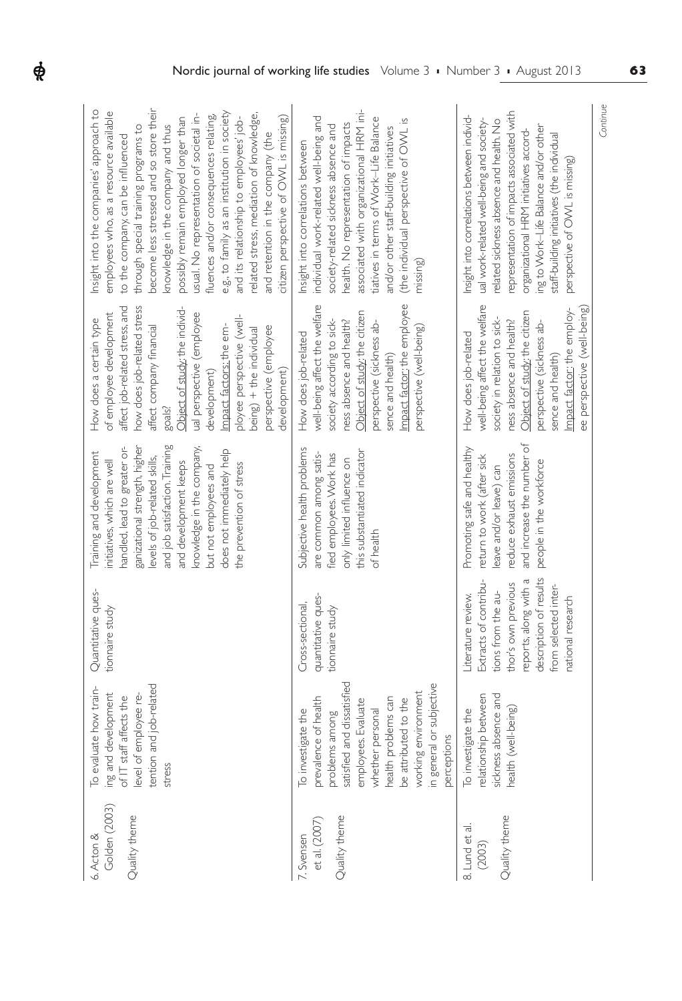| become less stressed and so store their<br>Insight into the companies' approach to<br>employees who, as a resource available<br>e.g., to family as an institution in society<br>related stress, mediation of knowledge,<br>usual. No representation of societal in-<br>fluences and/or consequences relating,<br>citizen perspective of OWL is missing)<br>possibly remain employed longer than<br>and its relationship to employees' job-<br>knowledge in the company and thus<br>through special training programs to<br>and retention in the company (the<br>to the company, can be influenced | associated with organizational HRM ini-<br>individual work-related well-being and<br>tiatives in terms of Work-Life Balance<br>(the individual perspective of OWL is<br>health. No representation of impacts<br>society-related sickness absence and<br>and/or other staff-building initiatives<br>Insight into correlations between<br>missing) | Continue<br>representation of impacts associated with<br>Insight into correlations between individ-<br>ual work-related well-being and society-<br>related sickness absence and health. No<br>ing to Work-Life Balance and/or other<br>organizational HRM initiatives accord-<br>staff-building initiatives (the individual<br>perspective of OVVL is missing) |
|---------------------------------------------------------------------------------------------------------------------------------------------------------------------------------------------------------------------------------------------------------------------------------------------------------------------------------------------------------------------------------------------------------------------------------------------------------------------------------------------------------------------------------------------------------------------------------------------------|--------------------------------------------------------------------------------------------------------------------------------------------------------------------------------------------------------------------------------------------------------------------------------------------------------------------------------------------------|----------------------------------------------------------------------------------------------------------------------------------------------------------------------------------------------------------------------------------------------------------------------------------------------------------------------------------------------------------------|
| affect job-related stress, and<br>how does job-related stress<br>Object of study; the individ-<br>ual perspective (employee<br>of employee development<br>ployee perspective (well-<br>How does a certain type<br>affect company financial<br>Impact factors; the em-<br>perspective (employee<br>being) + the individual<br>development)<br>development)<br>goals?                                                                                                                                                                                                                               | Impact factor: the employee<br>well-being affect the welfare<br>Object of study: the citizen<br>society according to sick-<br>ness absence and health?<br>perspective (sickness ab-<br>perspective (well-being)<br>How does job-related<br>sence and health)                                                                                     | well-being affect the welfare<br>ee perspective (well-being)<br>Impact factor: the employ-<br>Object of study: the citizen<br>society in relation to sick-<br>ness absence and health?<br>perspective (sickness ab-<br>How does job-related<br>sence and health)                                                                                               |
| and job satisfaction. Training<br>ganizational strength, higher<br>handled, lead to greater or-<br>knowledge in the company,<br>does not immediately help<br>Training and development<br>levels of job-related skills,<br>initiatives, which are well<br>and development keeps<br>the prevention of stress<br>but not employees and                                                                                                                                                                                                                                                               | Subjective health problems<br>this substantiated indicator<br>are common among satis-<br>fied employees. Work has<br>only limited influence on<br>of health                                                                                                                                                                                      | and increase the number of<br>Promoting safe and healthy<br>reduce exhaust emissions<br>retum to work (after sick<br>people in the workforce<br>eave and/or leave) can                                                                                                                                                                                         |
| Quantitative ques-<br>tionnaire study                                                                                                                                                                                                                                                                                                                                                                                                                                                                                                                                                             | quantitative ques-<br>Cross-sectional,<br>tionnaire study                                                                                                                                                                                                                                                                                        | description of results<br>reports, along with a<br>Extracts of contribu-<br>thor's own previous<br>from selected inter-<br>tions from the au-<br>iterature review.<br>national research                                                                                                                                                                        |
| tention and job-related<br>To evaluate how train-<br>ing and development<br>of IT staff affects the<br>level of employee re-<br>stress                                                                                                                                                                                                                                                                                                                                                                                                                                                            | satisfied and dissatisfied<br>in general or subjective<br>working environment<br>health problems can<br>te of health<br>be attributed to the<br>employees. Evaluate<br>To investigate the<br>whether personal<br>problems among<br>perceptions<br>prevalend                                                                                      | relationship between<br>sickness absence and<br>health (well-being)<br>To investigate the                                                                                                                                                                                                                                                                      |
| Golden (2003)<br>Quality theme<br>6. Acton &                                                                                                                                                                                                                                                                                                                                                                                                                                                                                                                                                      | Quality theme<br>et al. (2007)<br>7. Svensen                                                                                                                                                                                                                                                                                                     | Quality theme<br>8. Lund et al.<br>(2003)                                                                                                                                                                                                                                                                                                                      |

 $\boldsymbol{\phi}$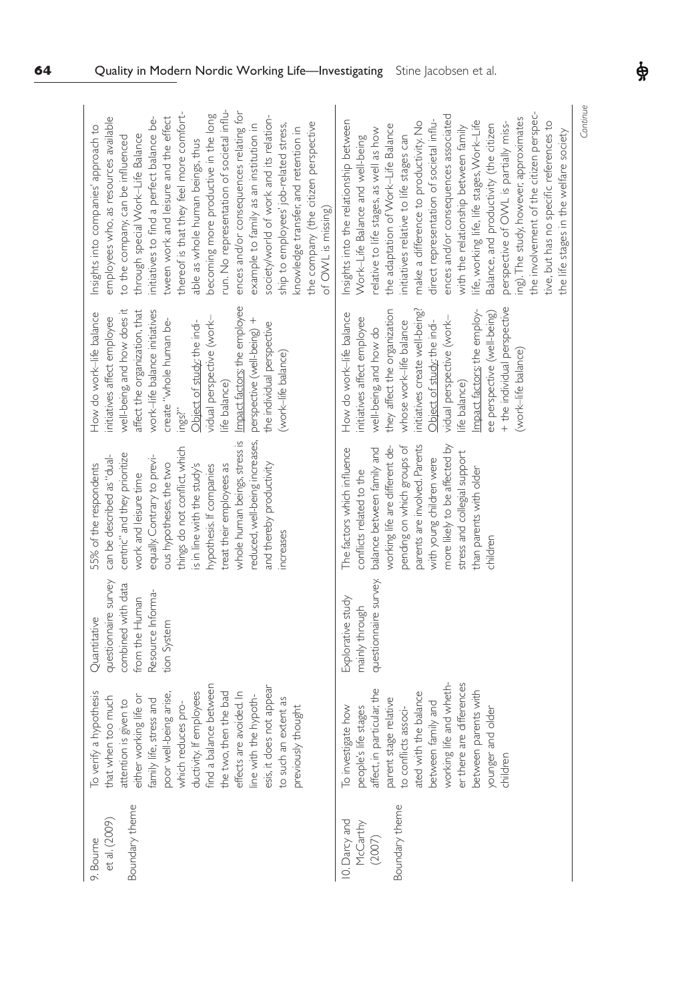| et al. (2009)<br>9. Bourne                            | a hypothesis<br>that when too much<br>To verify                                                                                                                                                                                                                                                                                           | questionnaire survey<br>Quantitative                                     | can be described as "dual-<br>55% of the respondents                                                                                                                                                                                                                                                                                                | How do work-life balance<br>initiatives affect employee                                                                                                                                                                                                                                                                                                                         | employees who, as resources available<br>Insights into companies' approach to                                                                                                                                                                                                                                                                                                                                                                                                                                                                                                                                                                                                           |
|-------------------------------------------------------|-------------------------------------------------------------------------------------------------------------------------------------------------------------------------------------------------------------------------------------------------------------------------------------------------------------------------------------------|--------------------------------------------------------------------------|-----------------------------------------------------------------------------------------------------------------------------------------------------------------------------------------------------------------------------------------------------------------------------------------------------------------------------------------------------|---------------------------------------------------------------------------------------------------------------------------------------------------------------------------------------------------------------------------------------------------------------------------------------------------------------------------------------------------------------------------------|-----------------------------------------------------------------------------------------------------------------------------------------------------------------------------------------------------------------------------------------------------------------------------------------------------------------------------------------------------------------------------------------------------------------------------------------------------------------------------------------------------------------------------------------------------------------------------------------------------------------------------------------------------------------------------------------|
| Boundary theme                                        | find a balance between<br>esis, it does not appear<br>the two, then the bad<br>ductivity. If employees<br>effects are avoided. In<br>poor well-being arise,<br>either working life or<br>line with the hypoth-<br>to such an extent as<br>family life, stress and<br>is given to<br>which reduces pro-<br>previously thought<br>attention | combined with data<br>Resource Informa-<br>from the Human<br>tion System | whole human beings, stress is<br>reduced, well-being increases,<br>things do not conflict, which<br>centric" and they prioritize<br>equally. Contrary to previ-<br>ous hypotheses, the two<br>treat their employees as<br>and thereby productivity<br>is in line with the study's<br>hypothesis. If companies<br>work and leisure time<br>increases | Impact factors; the employee<br>well-being, and how does it<br>affect the organization, that<br>work-life balance initiatives<br>vidual perspective (work-<br>create "whole human be-<br>perspective (well-being) +<br>Object of study the indi-<br>the individual perspective<br>(work-life balance)<br>life balance)<br>ings?"                                                | run. No representation of societal influ-<br>thereof is that they feel more comfort-<br>ences and/or consequences relating for<br>becoming more productive in the long<br>tween work and leisure and the effect<br>society/world of work and its relation-<br>initiatives to find a perfect balance be-<br>the company (the citizen perspective<br>ship to employees' job-related stress,<br>example to family as an institution in<br>knowledge transfer, and retention in<br>through special Work-Life Balance<br>to the company, can be influenced<br>able as whole human beings, thus<br>of OWL is missing)                                                                         |
| Boundary theme<br>10. Darcy and<br>McCarthy<br>(2007) | life and wheth-<br>er there are differences<br>people's life stages<br>affect, in particular, the<br>parents with<br>ated with the balance<br>parent stage relative<br>family and<br>to conflicts associ-<br>To investigate how<br>and older<br>between<br>working li<br>between<br>younger<br>children                                   | questionnaire survey.<br>Explorative study<br>mainly through             | parents are involved. Parents<br>pending on which groups of<br>more likely to be affected by<br>working life are different de-<br>The factors which influence<br>balance between family and<br>stress and collegial support<br>with young children were<br>than parents with older<br>conflicts related to the<br>children                          | + the individual perspective<br>Impact factors: the employ-<br>they affect the organization<br>initiatives create well-being?<br>ee perspective (well-being)<br>How do work-life balance<br>vidual perspective (work-<br>initiatives affect employee<br>whose work-life balance<br>Object of study: the indi-<br>well-being, and how do<br>(work-life balance)<br>life balance) | the involvement of the citizen perspec-<br>ences and/or consequences associated<br>ing). The study, however, approximates<br>Insights into the relationship between<br>direct representation of societal influ-<br>life, working life, life stages, Work-Life<br>make a difference to productivity. No<br>perspective of OWL is partially miss-<br>tive, but has no specific references to<br>Balance, and productivity (the citizen<br>the adaptation of Work-Life Balance<br>with the relationship between family<br>relative to life stages, as well as how<br>the life stages in the welfare society<br>Work-Life Balance and well-being<br>initiatives relative to life stages can |

**64** Quality in Modern Nordic Working Life—Investigating Stine Jacobsen et al.

*Continue*

ф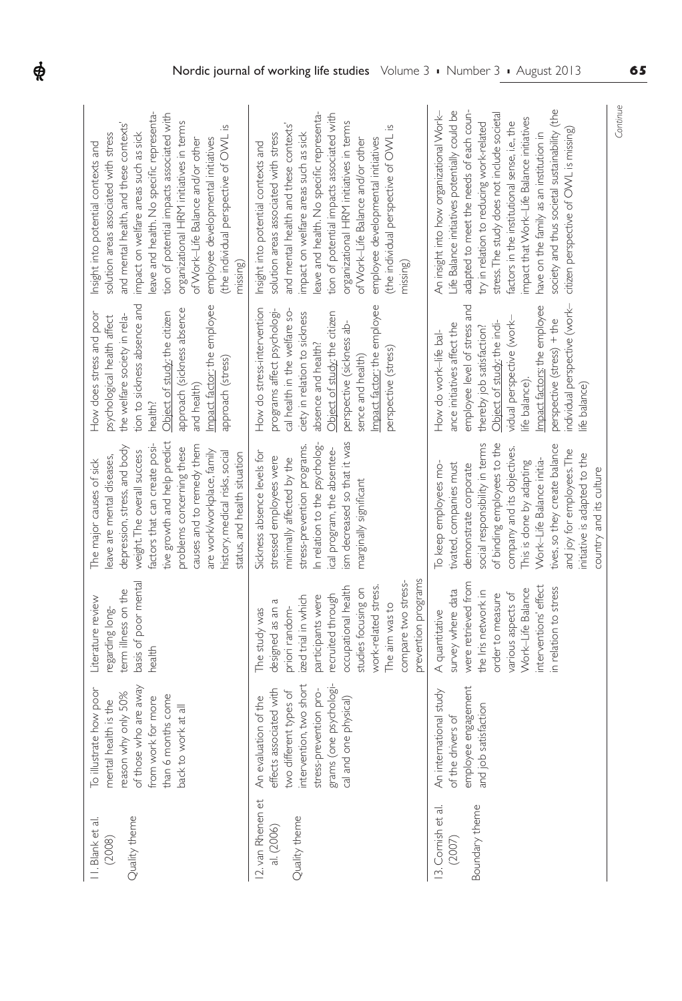| leave and health. No specific representa-<br>tion of potential impacts associated with<br>organizational HRM initiatives in terms<br>and mental health, and these contexts'<br>(the individual perspective of OWL is<br>impact on welfare areas such as sick<br>solution areas associated with stress<br>employee developmental initiatives<br>of Work-Life Balance and/or other<br>Insight into potential contexts and | leave and health. No specific representa-<br>tion of potential impacts associated with<br>organizational HRM initiatives in terms<br>and mental health and these contexts'<br>(the individual perspective of OWL is<br>impact on welfare areas such as sick<br>solution areas associated with stress<br>employee developmental initiatives<br>of Work-Life Balance and/or other<br>Insight into potential contexts and | Continue<br>society and thus societal sustainability (the<br>adapted to meet the needs of each coun-<br>Life Balance initiatives potentially could be<br>An insight into how organizational Work-<br>stress. The study does not include societal<br>impact that Work-Life Balance initatives<br>factors in the institutional sense, i.e., the<br>try in relation to reducing work-related<br>citizen perspective of OWL is missing)<br>have on the family as an institution in |
|-------------------------------------------------------------------------------------------------------------------------------------------------------------------------------------------------------------------------------------------------------------------------------------------------------------------------------------------------------------------------------------------------------------------------|------------------------------------------------------------------------------------------------------------------------------------------------------------------------------------------------------------------------------------------------------------------------------------------------------------------------------------------------------------------------------------------------------------------------|--------------------------------------------------------------------------------------------------------------------------------------------------------------------------------------------------------------------------------------------------------------------------------------------------------------------------------------------------------------------------------------------------------------------------------------------------------------------------------|
| missing)                                                                                                                                                                                                                                                                                                                                                                                                                | missing)                                                                                                                                                                                                                                                                                                                                                                                                               |                                                                                                                                                                                                                                                                                                                                                                                                                                                                                |
| tion to sickness absence and<br>Impact factor: the employee<br>approach (sickness absence<br>How does stress and poor<br>Object of study; the citizen<br>the welfare society in rela-<br>psychological health affect<br>approach (stress)<br>and health)<br>health?                                                                                                                                                     | Impact factor: the employee<br>How do stress-intervention<br>programs affect psychologi-<br>cal health in the welfare so-<br>ciety in relation to sickness<br>Object of study; the citizen<br>perspective (sickness ab-<br>absence and health?<br>perspective (stress)<br>sence and health)                                                                                                                            | individual perspective (work-<br>employee level of stress and<br>Impact factors; the employee<br>perspective (stress) + the<br>vidual perspective (work-<br>Object of study: the indi-<br>ance initiatives affect the<br>thereby job satisfaction?<br>How do work-life bal-<br>life balance).<br>life balance)                                                                                                                                                                 |
| tive growth and help predict<br>factors that can create posi-<br>causes and to remedy them<br>depression, stress, and body<br>problems concerning these<br>weight. The overall success<br>are work/workplace, family<br>history, medical risks, social<br>status, and health situation<br>leave are mental diseases,<br>The major causes of sick                                                                        | ism decreased so that it was<br>In relation to the psycholog-<br>stress-prevention programs.<br>cal program, the absentee-<br>Sickness absence levels for<br>stressed employees were<br>minimally affected by the<br>marginally significant                                                                                                                                                                            | social responsibility in terms<br>of binding employees to the<br>tives, so they create balance<br>company and its objectives.<br>and joy for employees. The<br>initiative is adapted to the<br>Work-Life Balance initia-<br>This is done by adapting<br>tivated, companies must<br>To keep employees mo-<br>demonstrate corporate<br>country and its culture                                                                                                                   |
| basis of poor mental<br>term illness on the<br>Literature review<br>regarding long-<br>health                                                                                                                                                                                                                                                                                                                           | prevention programs<br>compare two stress-<br>occupational health<br>work-related stress.<br>studies focusing on<br>recruited through<br>ized trial in which<br>participants were<br>designed as an a<br>The aim was to<br>priori random-<br>The study was                                                                                                                                                             | were retrieved from<br>interventions' effect<br>in relation to stress<br>Work-Life Balance<br>survey where data<br>the Iris network in<br>various aspects of<br>order to measure<br>A quantitative                                                                                                                                                                                                                                                                             |
| of those who are away<br>To illustrate how poor<br>reason why only 50%<br>than 6 months come<br>from work for more<br>mental health is the<br>back to work at all                                                                                                                                                                                                                                                       | intervention, two short<br>grams (one psychologi-<br>stress-prevention pro-<br>effects associated with<br>two different types of<br>An evaluation of the<br>cal and one physical)                                                                                                                                                                                                                                      | employee engagement<br>ational study<br>and job satisfaction<br>of the drivers of<br>An interr                                                                                                                                                                                                                                                                                                                                                                                 |
| Quality theme<br>II. Blank et al.<br>(2008)                                                                                                                                                                                                                                                                                                                                                                             | 12. van Rhenen et<br>Quality theme<br>al. (2006)                                                                                                                                                                                                                                                                                                                                                                       | Boundary theme<br>13. Cornish et al.<br>$(2007)$                                                                                                                                                                                                                                                                                                                                                                                                                               |

 $\dot{\phi}$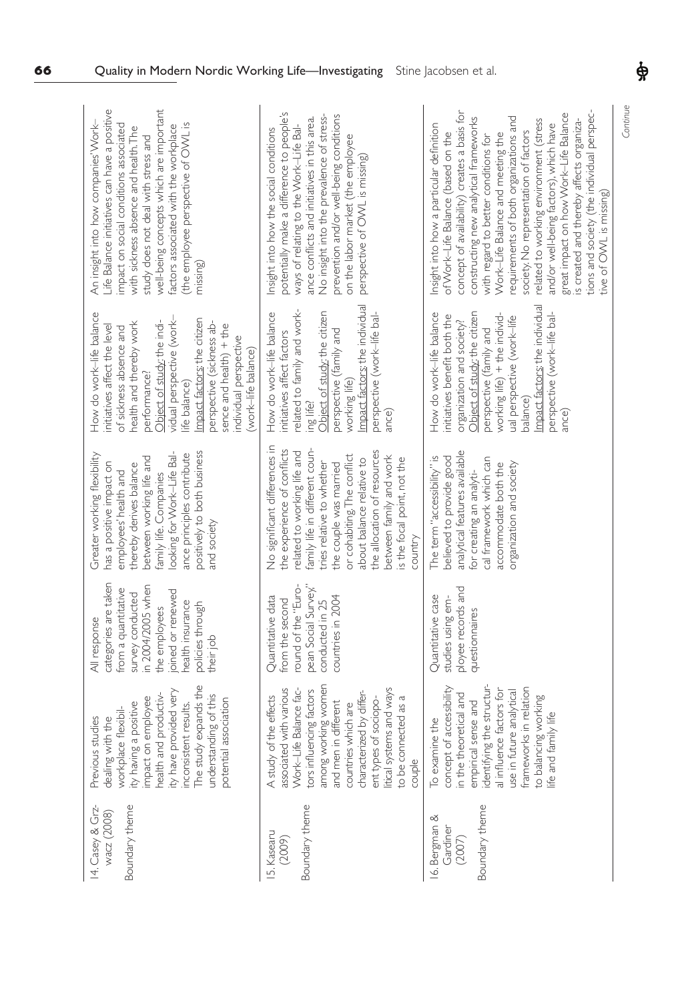| well-being concepts which are important<br>Life Balance initiatives can have a positive<br>An insight into how companies' Work-<br>(the employee perspective of OWL is<br>impact on social conditions associated<br>factors associated with the workplace<br>with sickness absence and health. The<br>study does not deal with stress and<br>missing) | potentially make a difference to people's<br>No insight into the prevalence of stress-<br>prevention and/or well-being conditions<br>ance conflicts and initiatives in this area.<br>ways of relating to the Work-Life Bal-<br>nsight into how the social conditions<br>on the labor market (the employee<br>perspective of OWL is missing)          | tions and society (the individual perspec-<br>concept of availability) creates a basis for<br>great impact on how Work-Life Balance<br>is created and thereby affects organiza-<br>requirements of both organizations and<br>constructing new analytical frameworks<br>related to working environment (stress<br>and/or well-being factors), which have<br>Insight into how a particular definition<br>society. No representation of factors<br>of Work-Life Balance (based on the<br>Work-Life Balance and meeting the<br>with regard to better conditions for<br>tive of OWL is missing) |
|-------------------------------------------------------------------------------------------------------------------------------------------------------------------------------------------------------------------------------------------------------------------------------------------------------------------------------------------------------|------------------------------------------------------------------------------------------------------------------------------------------------------------------------------------------------------------------------------------------------------------------------------------------------------------------------------------------------------|--------------------------------------------------------------------------------------------------------------------------------------------------------------------------------------------------------------------------------------------------------------------------------------------------------------------------------------------------------------------------------------------------------------------------------------------------------------------------------------------------------------------------------------------------------------------------------------------|
| How do work-life balance<br>vidual perspective (work-<br>mpact factors; the citizen<br>Object of study: the indi-<br>health and thereby work<br>perspective (sickness ab-<br>sence and health) + the<br>initiatives affect the level<br>of sickness absence and<br>individual perspective<br>work-life balance)<br>performance?<br>ife balance)       | Impact factors: the individual<br>related to family and work-<br>ing life?<br>Object of study; the citizen<br>How do work-life balance<br>perspective (work-life bal-<br>perspective (family and<br>nitiatives affect factors<br>working life)<br>ance)                                                                                              | Impact factors: the individual<br>perspective (work-life bal-<br>How do work-life balance<br>Object of study: the citizen<br>working life) + the individ-<br>initiatives benefit both the<br>ual perspective (work-life<br>organization and society?<br>perspective (family and<br>balance)<br>ance)                                                                                                                                                                                                                                                                                       |
| looking for Work-Life Bal-<br>positively to both business<br>Greater working flexibility<br>ance principles contribute<br>between working life and<br>has a positive impact on<br>thereby derives balance<br>employees' health and<br>family life. Companies<br>and society                                                                           | No significant differences in<br>the experience of conflicts<br>family life in different coun-<br>the allocation of resources<br>related to working life and<br>or cohabiting. The conflict<br>between family and work<br>is the focal point, not the<br>about balance relative to<br>tries relative to whether<br>the couple was married<br>country | analytical features available<br>believed to provide good<br>The term "accessibility" is<br>cal framework which can<br>accommodate both the<br>organization and society<br>for creating an analyti-                                                                                                                                                                                                                                                                                                                                                                                        |
| categories are taken<br>in 2004/2005 when<br>from a quantitative<br>joined or renewed<br>survey conducted<br>health insurance<br>policies through<br>the employees<br>All response<br>their job                                                                                                                                                       | ound of the "Euro-<br>pean Social Survey,"<br>Quantitative data<br>countries in 2004<br>conducted in 25<br>from the second                                                                                                                                                                                                                           | ployee records and<br>Quantitative case<br>studies using em-<br>questionnaires                                                                                                                                                                                                                                                                                                                                                                                                                                                                                                             |
| The study expands the<br>ity have provided very<br>health and productiv-<br>understanding of this<br>impact on employee<br>association<br>inconsistent results.<br>ity having a positive<br>workplace flexibil-<br>dealing with the<br>studies<br>Previous<br>potential                                                                               | among working women<br>associated with various<br>itical systems and ways<br>tors influencing factors<br>Work-Life Balance fac-<br>characterized by differ-<br>A study of the effects<br>ent types of sociopo-<br>to be connected as a<br>in different<br>countries which are<br>and men<br>couple                                                   | identifying the structur-<br>of accessibility<br>frameworks in relation<br>al influence factors for<br>use in future analytical<br>in the theoretical and<br>to balancing working<br>empirical sense and<br>life and family life<br>To examine the<br>concept                                                                                                                                                                                                                                                                                                                              |
| Boundary theme<br>14. Casey & Grz-<br>wacz (2008)                                                                                                                                                                                                                                                                                                     | Boundary theme<br>15. Kasearu<br>(2009)                                                                                                                                                                                                                                                                                                              | Boundary theme<br>16. Bergman &<br>Gardiner<br>(2007)                                                                                                                                                                                                                                                                                                                                                                                                                                                                                                                                      |

*Continue*

 $\phi$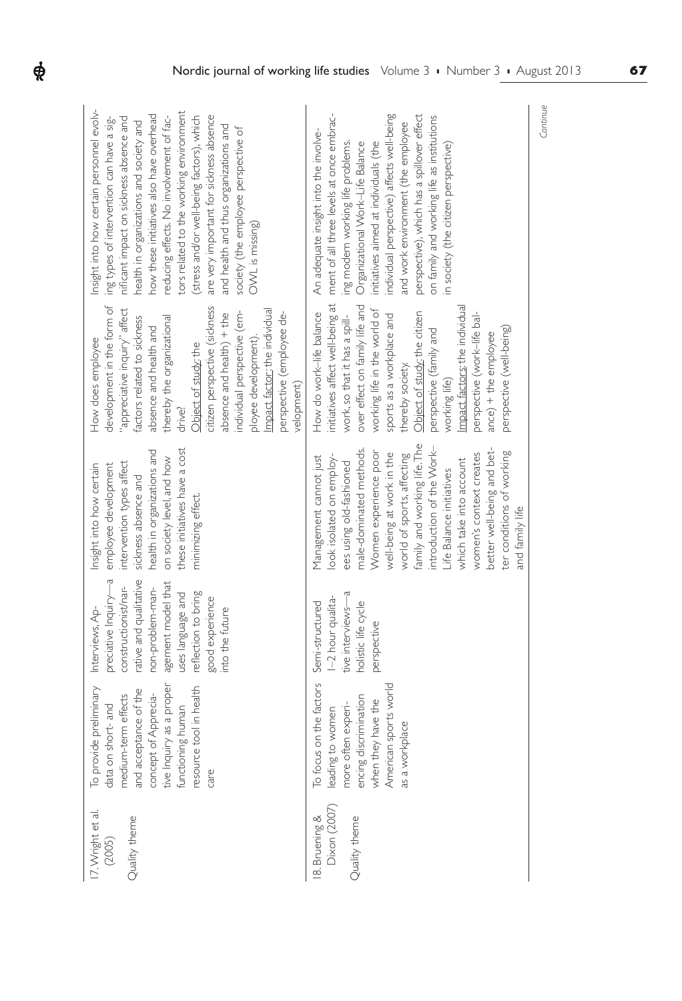| 17. Wright et al.<br>Quality theme<br>(2005)   | To provide preliminary<br>tive Inquiry as a proper<br>resource tool in health<br>and acceptance of the<br>concept of Apprecia-<br>medium-term effects<br>data on short- and<br>functioning human<br>care | preciative Inquiry-a<br>rative and qualitative<br>agement model that<br>constructionist/nar-<br>non-problem-man-<br>uses language and<br>reflection to bring<br>good experience<br>Interviews, Ap-<br>into the future | health in organizations and<br>these initiatives have a cost<br>on society level, and how<br>intervention types affect<br>Insight into how certain<br>employee development<br>sickness absence and<br>minimizing effect.                                                                                                                                                                                                 | development in the form of<br>citizen perspective (sickness<br>"appreciative inquiry" affect<br>individual perspective (em-<br>Impact factor: the individual<br>perspective (employee de-<br>absence and health) + the<br>factors related to sickness<br>thereby the organizational<br>absence and health and<br>ployee development).<br>How does employee<br>Object of study; the<br>velopment)<br>drive?          | Insight into how certain personnel evolv-<br>tors related to the working environment<br>how these initiatives also have overhead<br>are very important for sickness absence<br>reducing effects. No involvement of fac-<br>(stress and/or well-being factors), which<br>ing types of intervention can have a sig-<br>nificant impact on sickness absence and<br>health in organizations and society and<br>and health and thus organizations and<br>society (the employee perspective of<br>OVVL is missing) |
|------------------------------------------------|----------------------------------------------------------------------------------------------------------------------------------------------------------------------------------------------------------|-----------------------------------------------------------------------------------------------------------------------------------------------------------------------------------------------------------------------|--------------------------------------------------------------------------------------------------------------------------------------------------------------------------------------------------------------------------------------------------------------------------------------------------------------------------------------------------------------------------------------------------------------------------|---------------------------------------------------------------------------------------------------------------------------------------------------------------------------------------------------------------------------------------------------------------------------------------------------------------------------------------------------------------------------------------------------------------------|--------------------------------------------------------------------------------------------------------------------------------------------------------------------------------------------------------------------------------------------------------------------------------------------------------------------------------------------------------------------------------------------------------------------------------------------------------------------------------------------------------------|
| Dixon (2007)<br>Quality theme<br>8. Bruening & | To focus on the factors<br>American sports world<br>encing discrimination<br>when they have the<br>more often experi-<br>leading to women<br>as a workplace                                              | tive interviews-a<br>1-2 hour qualita-<br>Semi-structured<br>holistic life cycle<br>perspective                                                                                                                       | family and working life. The<br>introduction of the Work-<br>better well-being and bet-<br>male-dominated methods.<br>ter conditions of working<br>Women experience poor<br>well-being at work in the<br>world of sports, affecting<br>women's context creates<br>ook isolated on employ-<br>Management cannot just<br>which take into account<br>ees using old-fashioned<br>Life Balance initiatives<br>and family life | initiatives affect well-being at<br>over effect on family life and<br>Impact factors; the individual<br>working life in the world of<br>How do work-life balance<br>Object of study: the citizen<br>sports as a workplace and<br>perspective (work-life bal-<br>work, so that it has a spill-<br>perspective (well-being)<br>perspective (family and<br>$ance) + the employee$<br>thereby society.<br>working life) | ment of all three levels at once embrac-<br>individual perspective) affects well-being<br>perspective), which has a spillover effect<br>on family and working life as institutions<br>and work environment (the employee<br>An adequate insight into the involve-<br>ing modern working life problems.<br>Organizational Work-Life Balance<br>initiatives aimed at individuals (the<br>in society (the citizen perspective)                                                                                  |

 $\boldsymbol{\phi}$ 

*Continue*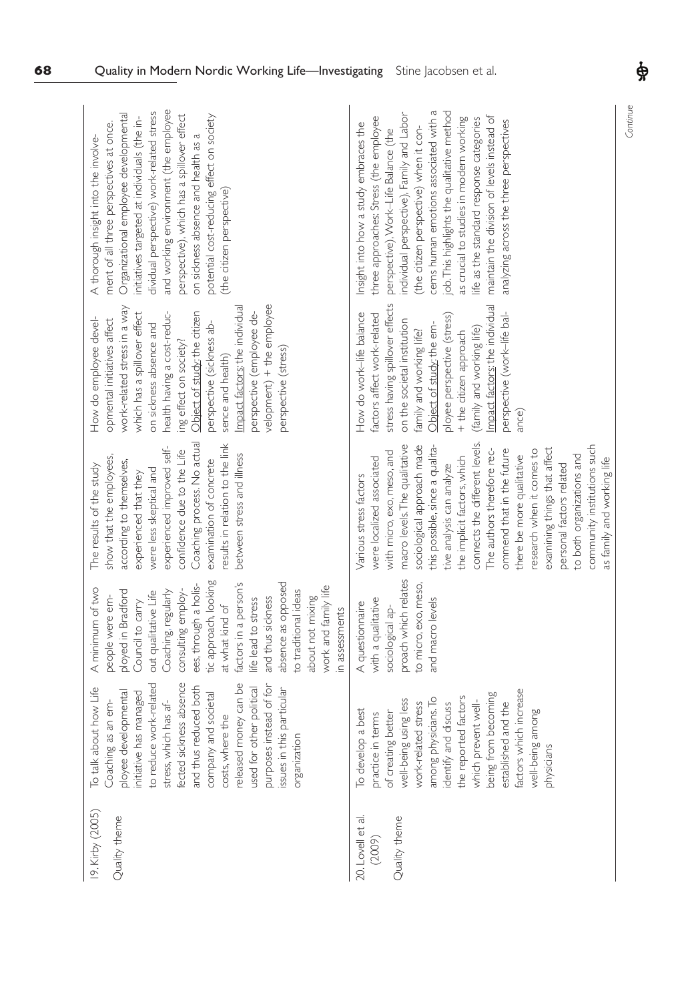| 19. Kirby (2005)<br>Quality theme            | fected sickness absence<br>to reduce work-related<br>released money can be<br>instead of for<br>and thus reduced both<br>To talk about how Life<br>used for other political<br>issues in this particular<br>ployee developmental<br>initiative has managed<br>and societal<br>stress, which has af-<br>Coaching as an em-<br>costs, where the<br>organization<br>company<br>purposes | tic approach, looking<br>factors in a person's<br>absence as opposed<br>ees, through a holis-<br>work and family life<br>A minimum of two<br>ployed in Bradford<br>consulting employ-<br>Coaching, regularly<br>to traditional ideas<br>out qualitative Life<br>people were em-<br>about not mixing<br>and thus sickness<br>life lead to stress<br>Council to carry<br>at what kind of<br>in assessments | Coaching process. No actual<br>results in relation to the link<br>experienced improved self-<br>confidence due to the Life<br>between stress and illness<br>show that the employees,<br>examination of concrete<br>according to themselves,<br>The results of the study<br>were less skeptical and<br>experienced that they                                                                                                                                                                                                                                  | velopment) + the employee<br>Impact factors; the individual<br>work-related stress in a way<br>which has a spillover effect<br>health having a cost-reduc-<br>Object of study; the citizen<br>perspective (employee de-<br>How do employee devel-<br>opmental initiatives affect<br>on sickness absence and<br>perspective (sickness ab-<br>ing effect on society?<br>perspective (stress)<br>sence and health) | and working environment (the employee<br>dividual perspective) work-related stress<br>Organizational employee developmental<br>perspective), which has a spillover effect<br>potential cost-reducing effect on society<br>initiatives targeted at individuals (the in-<br>ment of all three perspectives at once.<br>on sickness absence and health as a<br>A thorough insight into the involve-<br>(the citizen perspective)                                                           |
|----------------------------------------------|--------------------------------------------------------------------------------------------------------------------------------------------------------------------------------------------------------------------------------------------------------------------------------------------------------------------------------------------------------------------------------------|----------------------------------------------------------------------------------------------------------------------------------------------------------------------------------------------------------------------------------------------------------------------------------------------------------------------------------------------------------------------------------------------------------|--------------------------------------------------------------------------------------------------------------------------------------------------------------------------------------------------------------------------------------------------------------------------------------------------------------------------------------------------------------------------------------------------------------------------------------------------------------------------------------------------------------------------------------------------------------|-----------------------------------------------------------------------------------------------------------------------------------------------------------------------------------------------------------------------------------------------------------------------------------------------------------------------------------------------------------------------------------------------------------------|-----------------------------------------------------------------------------------------------------------------------------------------------------------------------------------------------------------------------------------------------------------------------------------------------------------------------------------------------------------------------------------------------------------------------------------------------------------------------------------------|
| 20. Lovell et al.<br>Quality theme<br>(2009) | factors which increase<br>being from becoming<br>the reported factors<br>well-being using less<br>among physicians. To<br>work-related stress<br>established and the<br>identify and discuss<br>which prevent well-<br>To develop a best<br>among<br>of creating better<br>practice in terms<br>well-being<br>physicians                                                             | proach which relates<br>to micro, exo, meso,<br>with a qualitative<br>and macro levels<br>A questionnaire<br>sociological ap-                                                                                                                                                                                                                                                                            | connects the different levels.<br>community institutions such<br>sociological approach made<br>macro levels. The qualitative<br>this possible, since a qualita-<br>examining things that affect<br>The authors therefore rec-<br>ommend that in the future<br>with micro, exo, meso, and<br>research when it comes to<br>there be more qualitative<br>to both organizations and<br>were localized associated<br>the implicit factors, which<br>as family and working life<br>tive analysis can analyze<br>personal factors related<br>Various stress factors | stress having spillover effects<br>Impact factors; the individual<br>perspective (work-life bal-<br>How do work-life balance<br>factors affect work-related<br>ployee perspective (stress)<br>on the societal institution<br>Object of study: the em-<br>(family and working life)<br>family and working life?<br>+ the citizen approach<br>ance)                                                               | cerns human emotions associated with a<br>job. This highlights the qualitative method<br>individual perspective), Family and Labor<br>three approaches: Stress (the employee<br>maintain the division of levels instead of<br>as crucial to studies in modern working<br>life as the standard response categories<br>analyzing across the three perspectives<br>Insight into how a study embraces the<br>(the citizen perspective) when it con-<br>perspective), Work-Life Balance (the |

Continue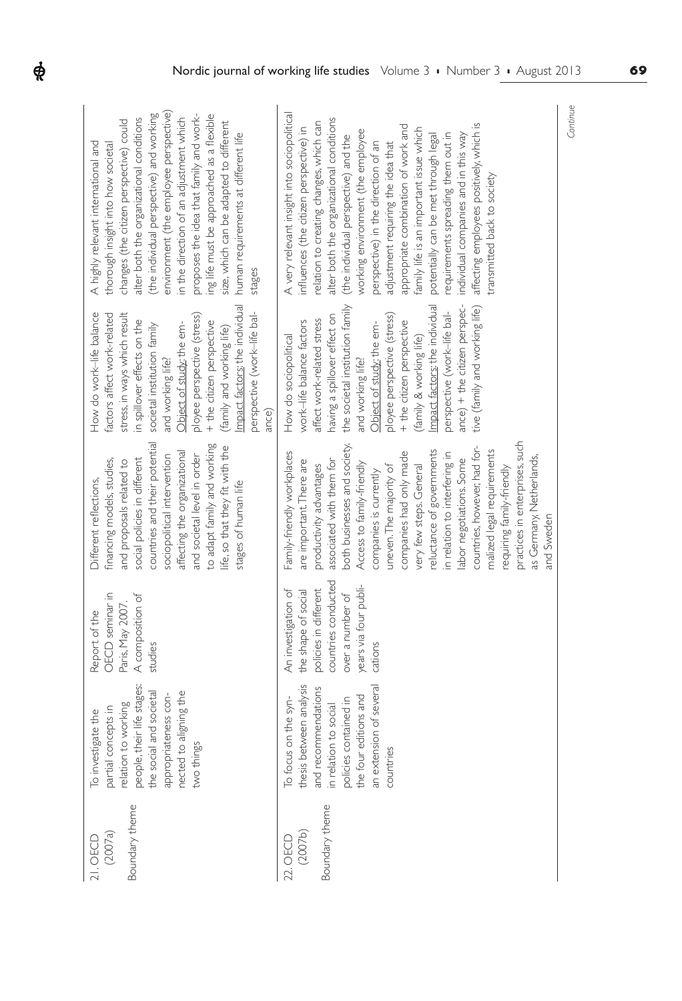|                                                                                                                                                                                                                                                                                                                                                                                                                                                                                        | Continue                                                                                                                                                                                                                                                                                                                                                                                                                                                                                                                                                                                                                   |
|----------------------------------------------------------------------------------------------------------------------------------------------------------------------------------------------------------------------------------------------------------------------------------------------------------------------------------------------------------------------------------------------------------------------------------------------------------------------------------------|----------------------------------------------------------------------------------------------------------------------------------------------------------------------------------------------------------------------------------------------------------------------------------------------------------------------------------------------------------------------------------------------------------------------------------------------------------------------------------------------------------------------------------------------------------------------------------------------------------------------------|
|                                                                                                                                                                                                                                                                                                                                                                                                                                                                                        |                                                                                                                                                                                                                                                                                                                                                                                                                                                                                                                                                                                                                            |
|                                                                                                                                                                                                                                                                                                                                                                                                                                                                                        |                                                                                                                                                                                                                                                                                                                                                                                                                                                                                                                                                                                                                            |
| environment (the employee perspective)<br>(the individual perspective) and working<br>proposes the idea that family and work-<br>ing life must be approached as a flexible<br>alter both the organizational conditions<br>in the direction of an adjustment which<br>changes (the citizen perspective) could<br>size, which can be adapted to different<br>human requirements at different life<br>A highly relevant international and<br>thorough insight into how societal<br>stages | A very relevant insight into sociopolitical<br>alter both the organizational conditions<br>relation to creating changes, which can<br>affecting employees positively, which is<br>appropriate combination of work and<br>influences (the citizen perspective) in<br>family life is an important issue which<br>working environment (the employee<br>requirements spreading them out in<br>potentially can be met through legal<br>individual companies and in this way<br>(the individual perspective) and the<br>perspective) in the direction of an<br>adjustment requiring the idea that<br>transmitted back to society |
|                                                                                                                                                                                                                                                                                                                                                                                                                                                                                        |                                                                                                                                                                                                                                                                                                                                                                                                                                                                                                                                                                                                                            |
| Impact factors; the individual<br>How do work-life balance<br>factors affect work-related<br>perspective (work-life bal-<br>stress, in ways which result<br>ployee perspective (stress)<br>in spillover effects on the<br>+ the citizen perspective<br>Object of study; the em-<br>societal institution family<br>(family and working life)                                                                                                                                            | Impact factors: the individual<br>the societal institution family<br>ance) + the citizen perspec-<br>tive (family and working life)<br>perspective (work-life bal-<br>having a spillover effect on<br>ployee perspective (stress)<br>affect work-related stress<br>work-life balance factors<br>+ the citizen perspective<br>Object of study; the em-<br>How do sociopolitical<br>(family & working life)                                                                                                                                                                                                                  |
| and working life?<br>ance)                                                                                                                                                                                                                                                                                                                                                                                                                                                             | and working life?                                                                                                                                                                                                                                                                                                                                                                                                                                                                                                                                                                                                          |
| countries and their potential                                                                                                                                                                                                                                                                                                                                                                                                                                                          | practices in enterprises, such                                                                                                                                                                                                                                                                                                                                                                                                                                                                                                                                                                                             |
| to adapt family and working<br>life, so that they fit with the<br>affecting the organizational<br>and societal level in order<br>sociopolitical intervention<br>social policies in different<br>financing models, studies,<br>and proposals related to<br>Different reflections,<br>stages of human life                                                                                                                                                                               | both businesses and society.<br>countries, however, had for-<br>reluctance of governments<br>malized legal requirements<br>Family-friendly workplaces<br>companies had only made<br>in relation to interfering in<br>as Germany, Netherlands,<br>labor negotiations. Some<br>associated with them for<br>are important. There are<br>Access to family-friendly<br>productivity advantages<br>very few steps. General<br>uneven. The majority of<br>requiring family-friendly<br>companies is currently                                                                                                                     |
|                                                                                                                                                                                                                                                                                                                                                                                                                                                                                        | and Sweden                                                                                                                                                                                                                                                                                                                                                                                                                                                                                                                                                                                                                 |
|                                                                                                                                                                                                                                                                                                                                                                                                                                                                                        | countries conducted<br>years via four publi-                                                                                                                                                                                                                                                                                                                                                                                                                                                                                                                                                                               |
| OECD seminar in<br>A composition of<br>Paris, May 2007.<br>Report of the<br>studies                                                                                                                                                                                                                                                                                                                                                                                                    | policies in different<br>the shape of social<br>An investigation of<br>over a number of<br>cations                                                                                                                                                                                                                                                                                                                                                                                                                                                                                                                         |
| and societal                                                                                                                                                                                                                                                                                                                                                                                                                                                                           |                                                                                                                                                                                                                                                                                                                                                                                                                                                                                                                                                                                                                            |
| people, their life stages:<br>nected to aligning the<br>appropriateness con-<br>relation to working<br>partial concepts in<br>To investigate the<br>two things<br>the social                                                                                                                                                                                                                                                                                                           | thesis between analysis<br>an extension of several<br>and recommendations<br>the four editions and<br>To focus on the syn-<br>policies contained in<br>in relation to social<br>countries                                                                                                                                                                                                                                                                                                                                                                                                                                  |
|                                                                                                                                                                                                                                                                                                                                                                                                                                                                                        |                                                                                                                                                                                                                                                                                                                                                                                                                                                                                                                                                                                                                            |
| Boundary theme<br>(2007a)                                                                                                                                                                                                                                                                                                                                                                                                                                                              | Boundary theme<br>(2007b)<br>22. OECD                                                                                                                                                                                                                                                                                                                                                                                                                                                                                                                                                                                      |
| 21. OECD                                                                                                                                                                                                                                                                                                                                                                                                                                                                               |                                                                                                                                                                                                                                                                                                                                                                                                                                                                                                                                                                                                                            |

 $\boldsymbol{\phi}$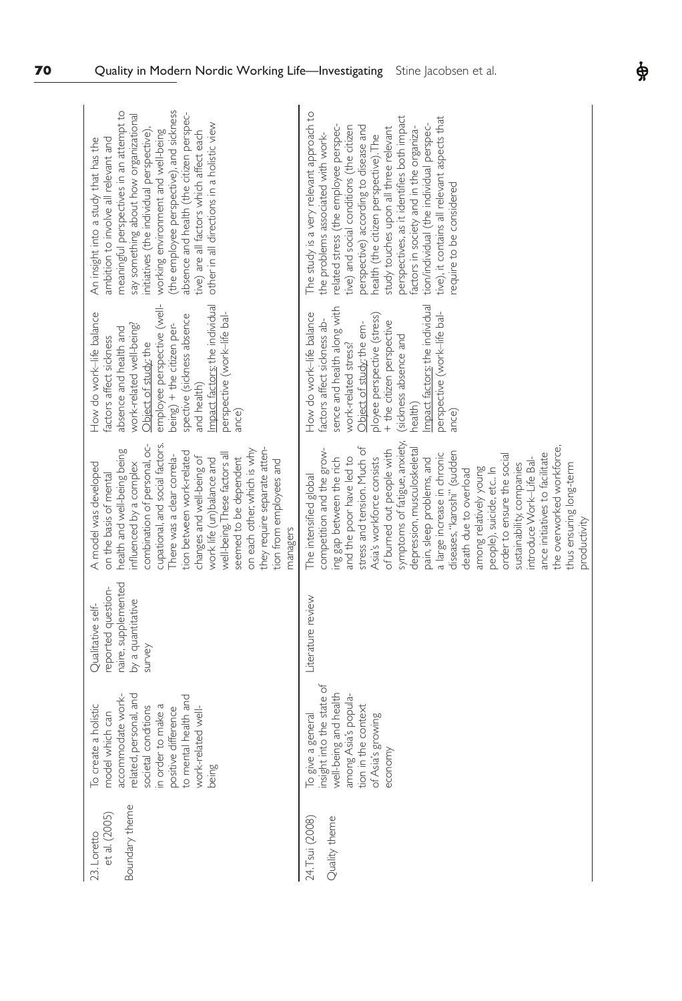| meaningful perspectives in an attempt to<br>(the employee perspective), and sickness<br>absence and health (the citizen perspec-<br>say something about how organizational<br>other in all directions in a holistic view<br>working environment and well-being<br>tive) are all factors which affect each<br>initiatives (the individual perspective)<br>An insight into a study that has the<br>ambition to involve all relevant and                             | The study is a very relevant approach to<br>perspectives, as it identifies both impact<br>tive), it contains all relevant aspects that<br>tion/individual (the individual perspec-<br>related stress (the employee perspec-<br>tive) and social conditions (the citizen<br>perspective) according to disease and<br>study touches upon all three relevant<br>factors in society and in the organiza-<br>the problems associated with work-<br>health (the citizen perspective). The<br>require to be considered                                                                                                                                |
|-------------------------------------------------------------------------------------------------------------------------------------------------------------------------------------------------------------------------------------------------------------------------------------------------------------------------------------------------------------------------------------------------------------------------------------------------------------------|------------------------------------------------------------------------------------------------------------------------------------------------------------------------------------------------------------------------------------------------------------------------------------------------------------------------------------------------------------------------------------------------------------------------------------------------------------------------------------------------------------------------------------------------------------------------------------------------------------------------------------------------|
| employee perspective (well-<br>Impact factors; the individual<br>How do work-life balance<br>perspective (work-life bal-<br>spective (sickness absence<br>being) + the citizen per-<br>work-related well-being?<br>absence and health and<br>factors affect sickness<br>Object of study; the<br>and health)<br>ance)                                                                                                                                              | mpact factors; the individual<br>sence and health along with<br>perspective (work-life bal-<br>How do work-life balance<br>ployee perspective (stress)<br>factors affect sickness ab-<br>+ the citizen perspective<br>Object of study: the em-<br>sickness absence and<br>work-related stress?<br>health)<br>ance)                                                                                                                                                                                                                                                                                                                             |
| cupational, and social factors.<br>combination of personal, oc-<br>they require separate atten-<br>health and well-being being<br>on each other, which is why<br>tion between work-related<br>well-being. These factors all<br>There was a clear correla-<br>changes and well-being of<br>seemed to be dependent<br>work life (un)balance and<br>tion from employees and<br>nfluenced by a complex<br>A model was developed<br>on the basis of mental<br>managers | symptoms of fatigue, anxiety,<br>stress and tension. Much of<br>the overworked workforce<br>competition and the grow-<br>depression, musculoskeletal<br>of burned out people with<br>diseases, "karoshi" (sudden<br>ance initiatives to facilitate<br>a large increase in chronic<br>order to ensure the social<br>ing gap between the rich<br>and the poor have led to<br>introduce Work-Life Bal-<br>Asia's workforce consists<br>pain, sleep problems, and<br>sustainability, companies<br>thus ensuring long-term<br>among relatively young<br>people), suicide, etc In<br>death due to overload<br>The intensified global<br>productivity |
| naire, supplemented<br>eported question-<br>by a quantitative<br>Qualitative self-<br>survey                                                                                                                                                                                                                                                                                                                                                                      | Literature review                                                                                                                                                                                                                                                                                                                                                                                                                                                                                                                                                                                                                              |
| related, personal, and<br>accommodate work-<br>to mental health and<br>To create a holistic<br>in order to make a<br>conditions<br>work-related well-<br>positive difference<br>model which can<br>societal<br>being                                                                                                                                                                                                                                              | To give a general<br>insight into the state of<br>well-being and health<br>among Asia's popula-<br>tion in the context<br>of Asia's growing<br>econom)                                                                                                                                                                                                                                                                                                                                                                                                                                                                                         |
| Boundary theme<br>et al. (2005)<br>23. Loretto                                                                                                                                                                                                                                                                                                                                                                                                                    | Quality theme<br>24. Tsui (2008)                                                                                                                                                                                                                                                                                                                                                                                                                                                                                                                                                                                                               |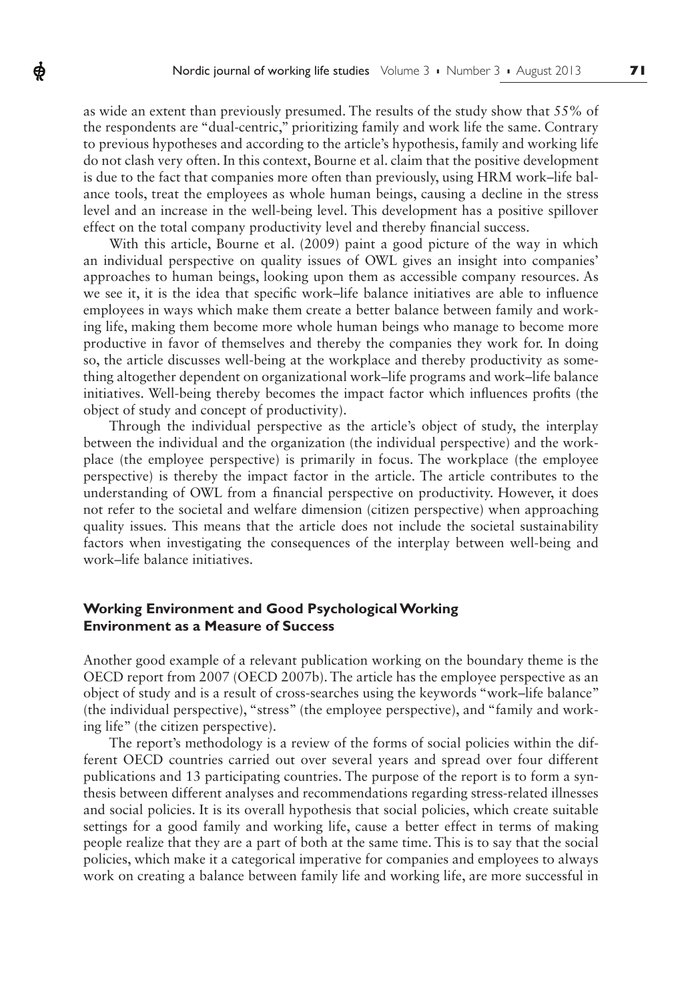as wide an extent than previously presumed. The results of the study show that 55% of the respondents are "dual-centric," prioritizing family and work life the same. Contrary to previous hypotheses and according to the article's hypothesis, family and working life do not clash very often. In this context, Bourne et al. claim that the positive development is due to the fact that companies more often than previously, using HRM work–life balance tools, treat the employees as whole human beings, causing a decline in the stress level and an increase in the well-being level. This development has a positive spillover effect on the total company productivity level and thereby financial success.

ф

With this article, Bourne et al. (2009) paint a good picture of the way in which an individual perspective on quality issues of OWL gives an insight into companies' approaches to human beings, looking upon them as accessible company resources. As we see it, it is the idea that specific work–life balance initiatives are able to influence employees in ways which make them create a better balance between family and working life, making them become more whole human beings who manage to become more productive in favor of themselves and thereby the companies they work for. In doing so, the article discusses well-being at the workplace and thereby productivity as something altogether dependent on organizational work–life programs and work–life balance initiatives. Well-being thereby becomes the impact factor which influences profits (the object of study and concept of productivity).

Through the individual perspective as the article's object of study, the interplay between the individual and the organization (the individual perspective) and the workplace (the employee perspective) is primarily in focus. The workplace (the employee perspective) is thereby the impact factor in the article. The article contributes to the understanding of OWL from a financial perspective on productivity. However, it does not refer to the societal and welfare dimension (citizen perspective) when approaching quality issues*.* This means that the article does not include the societal sustainability factors when investigating the consequences of the interplay between well-being and work–life balance initiatives.

# **Working Environment and Good Psychological Working Environment as a Measure of Success**

Another good example of a relevant publication working on the boundary theme is the OECD report from 2007 (OECD 2007b). The article has the employee perspective as an object of study and is a result of cross-searches using the keywords "work–life balance" (the individual perspective), "stress" (the employee perspective), and "family and working life" (the citizen perspective).

The report's methodology is a review of the forms of social policies within the different OECD countries carried out over several years and spread over four different publications and 13 participating countries. The purpose of the report is to form a synthesis between different analyses and recommendations regarding stress-related illnesses and social policies. It is its overall hypothesis that social policies, which create suitable settings for a good family and working life, cause a better effect in terms of making people realize that they are a part of both at the same time. This is to say that the social policies, which make it a categorical imperative for companies and employees to always work on creating a balance between family life and working life, are more successful in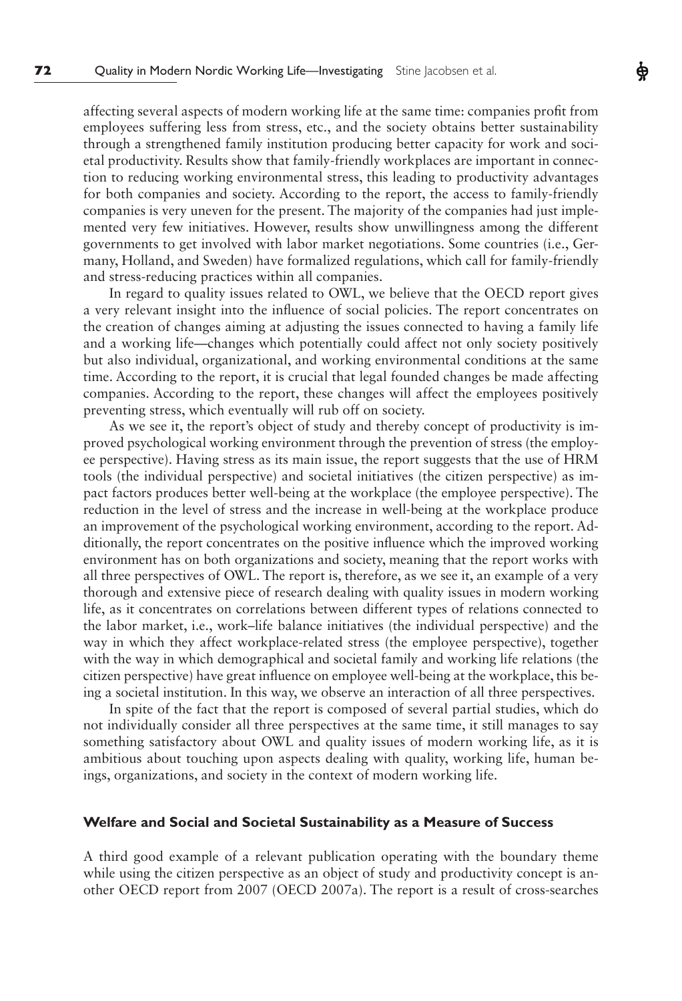affecting several aspects of modern working life at the same time: companies profit from employees suffering less from stress, etc., and the society obtains better sustainability through a strengthened family institution producing better capacity for work and societal productivity. Results show that family-friendly workplaces are important in connection to reducing working environmental stress, this leading to productivity advantages for both companies and society. According to the report, the access to family-friendly companies is very uneven for the present. The majority of the companies had just implemented very few initiatives. However, results show unwillingness among the different governments to get involved with labor market negotiations. Some countries (i.e., Germany, Holland, and Sweden) have formalized regulations, which call for family-friendly and stress-reducing practices within all companies.

In regard to quality issues related to OWL, we believe that the OECD report gives a very relevant insight into the influence of social policies. The report concentrates on the creation of changes aiming at adjusting the issues connected to having a family life and a working life—changes which potentially could affect not only society positively but also individual, organizational, and working environmental conditions at the same time. According to the report, it is crucial that legal founded changes be made affecting companies. According to the report, these changes will affect the employees positively preventing stress, which eventually will rub off on society.

As we see it, the report's object of study and thereby concept of productivity is improved psychological working environment through the prevention of stress (the employee perspective). Having stress as its main issue, the report suggests that the use of HRM tools (the individual perspective) and societal initiatives (the citizen perspective) as impact factors produces better well-being at the workplace (the employee perspective). The reduction in the level of stress and the increase in well-being at the workplace produce an improvement of the psychological working environment, according to the report. Additionally, the report concentrates on the positive influence which the improved working environment has on both organizations and society, meaning that the report works with all three perspectives of OWL. The report is, therefore, as we see it, an example of a very thorough and extensive piece of research dealing with quality issues in modern working life, as it concentrates on correlations between different types of relations connected to the labor market, i.e., work–life balance initiatives (the individual perspective) and the way in which they affect workplace-related stress (the employee perspective), together with the way in which demographical and societal family and working life relations (the citizen perspective) have great influence on employee well-being at the workplace, this being a societal institution. In this way, we observe an interaction of all three perspectives.

In spite of the fact that the report is composed of several partial studies, which do not individually consider all three perspectives at the same time, it still manages to say something satisfactory about OWL and quality issues of modern working life, as it is ambitious about touching upon aspects dealing with quality, working life, human beings, organizations, and society in the context of modern working life.

#### **Welfare and Social and Societal Sustainability as a Measure of Success**

A third good example of a relevant publication operating with the boundary theme while using the citizen perspective as an object of study and productivity concept is another OECD report from 2007 (OECD 2007a). The report is a result of cross-searches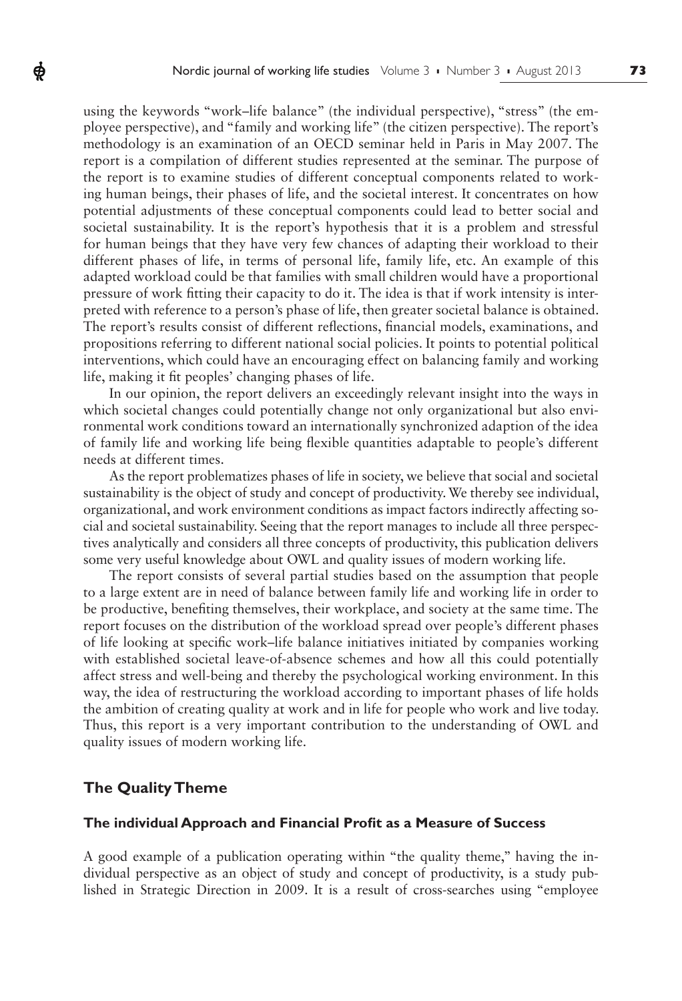using the keywords "work–life balance" (the individual perspective), "stress" (the employee perspective), and "family and working life" (the citizen perspective). The report's methodology is an examination of an OECD seminar held in Paris in May 2007. The report is a compilation of different studies represented at the seminar. The purpose of the report is to examine studies of different conceptual components related to working human beings, their phases of life, and the societal interest. It concentrates on how potential adjustments of these conceptual components could lead to better social and societal sustainability. It is the report's hypothesis that it is a problem and stressful for human beings that they have very few chances of adapting their workload to their different phases of life, in terms of personal life, family life, etc. An example of this adapted workload could be that families with small children would have a proportional pressure of work fitting their capacity to do it. The idea is that if work intensity is interpreted with reference to a person's phase of life, then greater societal balance is obtained. The report's results consist of different reflections, financial models, examinations, and propositions referring to different national social policies. It points to potential political interventions, which could have an encouraging effect on balancing family and working life, making it fit peoples' changing phases of life.

In our opinion, the report delivers an exceedingly relevant insight into the ways in which societal changes could potentially change not only organizational but also environmental work conditions toward an internationally synchronized adaption of the idea of family life and working life being flexible quantities adaptable to people's different needs at different times.

As the report problematizes phases of life in society, we believe that social and societal sustainability is the object of study and concept of productivity. We thereby see individual, organizational, and work environment conditions as impact factors indirectly affecting social and societal sustainability. Seeing that the report manages to include all three perspectives analytically and considers all three concepts of productivity, this publication delivers some very useful knowledge about OWL and quality issues of modern working life.

The report consists of several partial studies based on the assumption that people to a large extent are in need of balance between family life and working life in order to be productive, benefiting themselves, their workplace, and society at the same time. The report focuses on the distribution of the workload spread over people's different phases of life looking at specific work–life balance initiatives initiated by companies working with established societal leave-of-absence schemes and how all this could potentially affect stress and well-being and thereby the psychological working environment. In this way, the idea of restructuring the workload according to important phases of life holds the ambition of creating quality at work and in life for people who work and live today. Thus, this report is a very important contribution to the understanding of OWL and quality issues of modern working life.

# **The Quality Theme**

ф

#### **The individual Approach and Financial Profit as a Measure of Success**

A good example of a publication operating within "the quality theme," having the individual perspective as an object of study and concept of productivity, is a study published in Strategic Direction in 2009. It is a result of cross-searches using "employee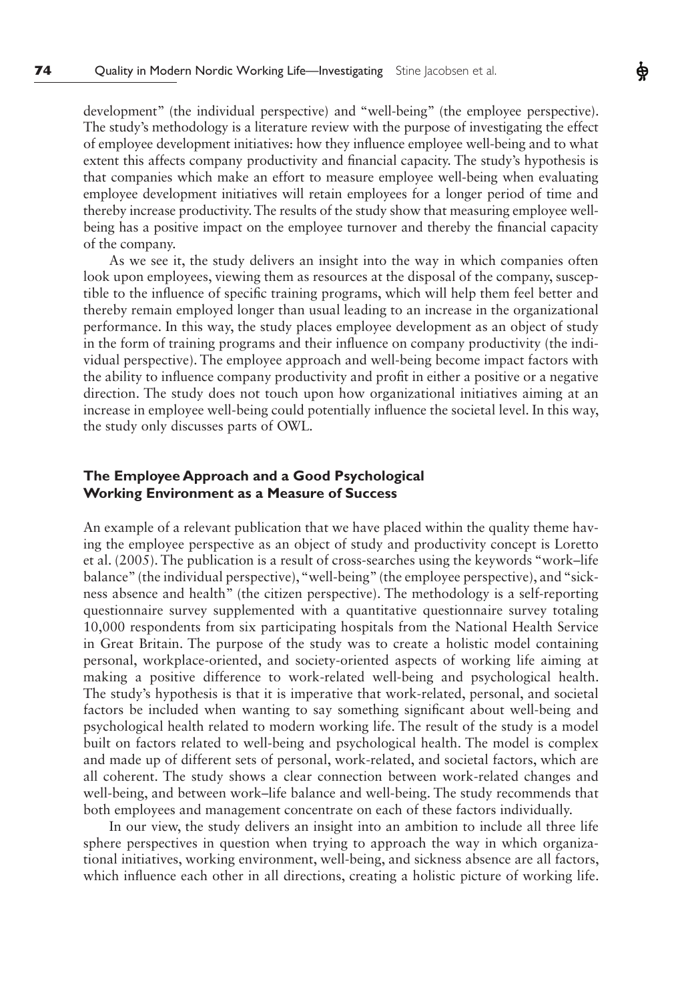development" (the individual perspective) and "well-being" (the employee perspective). The study's methodology is a literature review with the purpose of investigating the effect of employee development initiatives: how they influence employee well-being and to what extent this affects company productivity and financial capacity. The study's hypothesis is that companies which make an effort to measure employee well-being when evaluating employee development initiatives will retain employees for a longer period of time and thereby increase productivity. The results of the study show that measuring employee wellbeing has a positive impact on the employee turnover and thereby the financial capacity of the company.

As we see it, the study delivers an insight into the way in which companies often look upon employees, viewing them as resources at the disposal of the company, susceptible to the influence of specific training programs, which will help them feel better and thereby remain employed longer than usual leading to an increase in the organizational performance. In this way, the study places employee development as an object of study in the form of training programs and their influence on company productivity (the individual perspective). The employee approach and well-being become impact factors with the ability to influence company productivity and profit in either a positive or a negative direction. The study does not touch upon how organizational initiatives aiming at an increase in employee well-being could potentially influence the societal level. In this way, the study only discusses parts of OWL*.*

# **The Employee Approach and a Good Psychological Working Environment as a Measure of Success**

An example of a relevant publication that we have placed within the quality theme having the employee perspective as an object of study and productivity concept is Loretto et al. (2005). The publication is a result of cross-searches using the keywords "work–life balance" (the individual perspective), "well-being" (the employee perspective), and "sickness absence and health" (the citizen perspective). The methodology is a self-reporting questionnaire survey supplemented with a quantitative questionnaire survey totaling 10,000 respondents from six participating hospitals from the National Health Service in Great Britain. The purpose of the study was to create a holistic model containing personal, workplace-oriented, and society-oriented aspects of working life aiming at making a positive difference to work-related well-being and psychological health. The study's hypothesis is that it is imperative that work-related, personal, and societal factors be included when wanting to say something significant about well-being and psychological health related to modern working life. The result of the study is a model built on factors related to well-being and psychological health. The model is complex and made up of different sets of personal, work-related, and societal factors, which are all coherent. The study shows a clear connection between work-related changes and well-being, and between work–life balance and well-being. The study recommends that both employees and management concentrate on each of these factors individually.

In our view, the study delivers an insight into an ambition to include all three life sphere perspectives in question when trying to approach the way in which organizational initiatives, working environment, well-being, and sickness absence are all factors, which influence each other in all directions, creating a holistic picture of working life.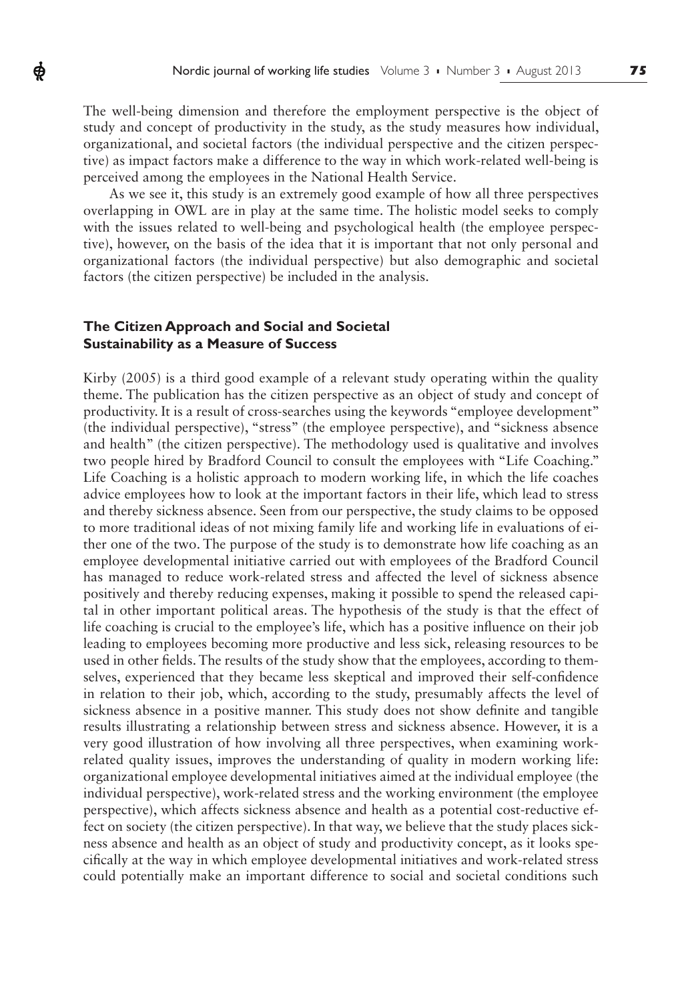The well-being dimension and therefore the employment perspective is the object of study and concept of productivity in the study, as the study measures how individual, organizational, and societal factors (the individual perspective and the citizen perspective) as impact factors make a difference to the way in which work-related well-being is perceived among the employees in the National Health Service.

As we see it, this study is an extremely good example of how all three perspectives overlapping in OWL are in play at the same time. The holistic model seeks to comply with the issues related to well-being and psychological health (the employee perspective), however, on the basis of the idea that it is important that not only personal and organizational factors (the individual perspective) but also demographic and societal factors (the citizen perspective) be included in the analysis.

# **The Citizen Approach and Social and Societal Sustainability as a Measure of Success**

ф

Kirby (2005) is a third good example of a relevant study operating within the quality theme. The publication has the citizen perspective as an object of study and concept of productivity. It is a result of cross-searches using the keywords "employee development" (the individual perspective), "stress" (the employee perspective), and "sickness absence and health" (the citizen perspective). The methodology used is qualitative and involves two people hired by Bradford Council to consult the employees with "Life Coaching." Life Coaching is a holistic approach to modern working life, in which the life coaches advice employees how to look at the important factors in their life, which lead to stress and thereby sickness absence. Seen from our perspective, the study claims to be opposed to more traditional ideas of not mixing family life and working life in evaluations of either one of the two. The purpose of the study is to demonstrate how life coaching as an employee developmental initiative carried out with employees of the Bradford Council has managed to reduce work-related stress and affected the level of sickness absence positively and thereby reducing expenses, making it possible to spend the released capital in other important political areas. The hypothesis of the study is that the effect of life coaching is crucial to the employee's life, which has a positive influence on their job leading to employees becoming more productive and less sick, releasing resources to be used in other fields. The results of the study show that the employees, according to themselves, experienced that they became less skeptical and improved their self-confidence in relation to their job, which, according to the study, presumably affects the level of sickness absence in a positive manner. This study does not show definite and tangible results illustrating a relationship between stress and sickness absence. However, it is a very good illustration of how involving all three perspectives, when examining workrelated quality issues, improves the understanding of quality in modern working life: organizational employee developmental initiatives aimed at the individual employee (the individual perspective), work-related stress and the working environment (the employee perspective), which affects sickness absence and health as a potential cost-reductive effect on society (the citizen perspective). In that way, we believe that the study places sickness absence and health as an object of study and productivity concept, as it looks specifically at the way in which employee developmental initiatives and work-related stress could potentially make an important difference to social and societal conditions such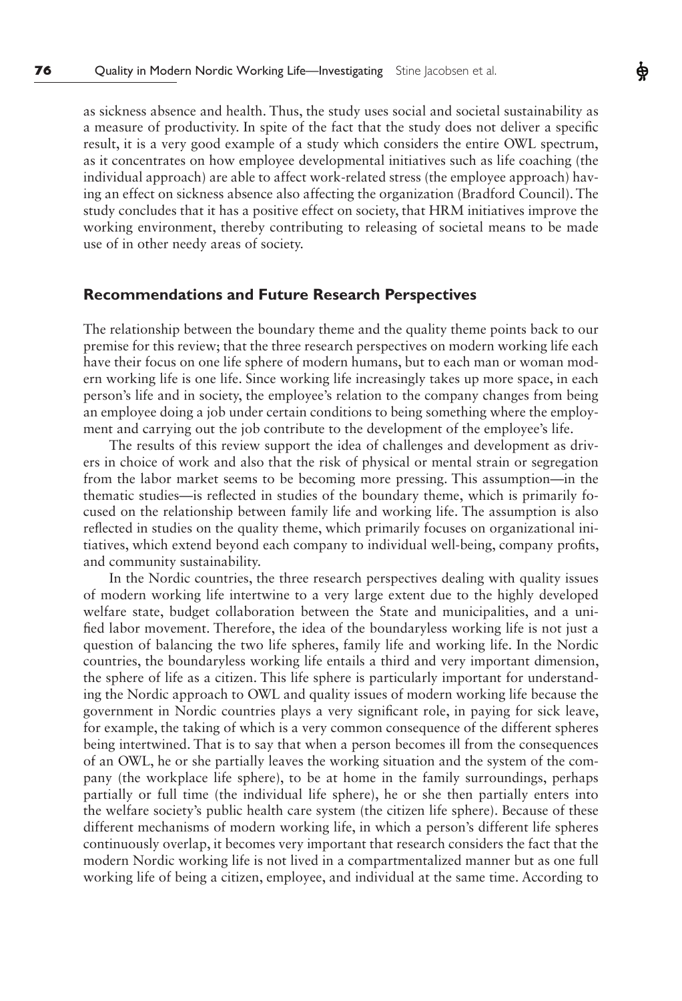as sickness absence and health. Thus, the study uses social and societal sustainability as a measure of productivity. In spite of the fact that the study does not deliver a specific result, it is a very good example of a study which considers the entire OWL spectrum, as it concentrates on how employee developmental initiatives such as life coaching (the individual approach) are able to affect work-related stress (the employee approach) having an effect on sickness absence also affecting the organization (Bradford Council). The study concludes that it has a positive effect on society, that HRM initiatives improve the working environment, thereby contributing to releasing of societal means to be made use of in other needy areas of society.

## **Recommendations and Future Research Perspectives**

The relationship between the boundary theme and the quality theme points back to our premise for this review; that the three research perspectives on modern working life each have their focus on one life sphere of modern humans, but to each man or woman modern working life is one life. Since working life increasingly takes up more space, in each person's life and in society, the employee's relation to the company changes from being an employee doing a job under certain conditions to being something where the employment and carrying out the job contribute to the development of the employee's life.

The results of this review support the idea of challenges and development as drivers in choice of work and also that the risk of physical or mental strain or segregation from the labor market seems to be becoming more pressing. This assumption—in the thematic studies—is reflected in studies of the boundary theme, which is primarily focused on the relationship between family life and working life. The assumption is also reflected in studies on the quality theme, which primarily focuses on organizational initiatives, which extend beyond each company to individual well-being, company profits, and community sustainability.

In the Nordic countries, the three research perspectives dealing with quality issues of modern working life intertwine to a very large extent due to the highly developed welfare state, budget collaboration between the State and municipalities, and a unified labor movement. Therefore, the idea of the boundaryless working life is not just a question of balancing the two life spheres, family life and working life. In the Nordic countries, the boundaryless working life entails a third and very important dimension, the sphere of life as a citizen. This life sphere is particularly important for understanding the Nordic approach to OWL and quality issues of modern working life because the government in Nordic countries plays a very significant role, in paying for sick leave, for example, the taking of which is a very common consequence of the different spheres being intertwined. That is to say that when a person becomes ill from the consequences of an OWL, he or she partially leaves the working situation and the system of the company (the workplace life sphere), to be at home in the family surroundings, perhaps partially or full time (the individual life sphere), he or she then partially enters into the welfare society's public health care system (the citizen life sphere). Because of these different mechanisms of modern working life, in which a person's different life spheres continuously overlap, it becomes very important that research considers the fact that the modern Nordic working life is not lived in a compartmentalized manner but as one full working life of being a citizen, employee, and individual at the same time. According to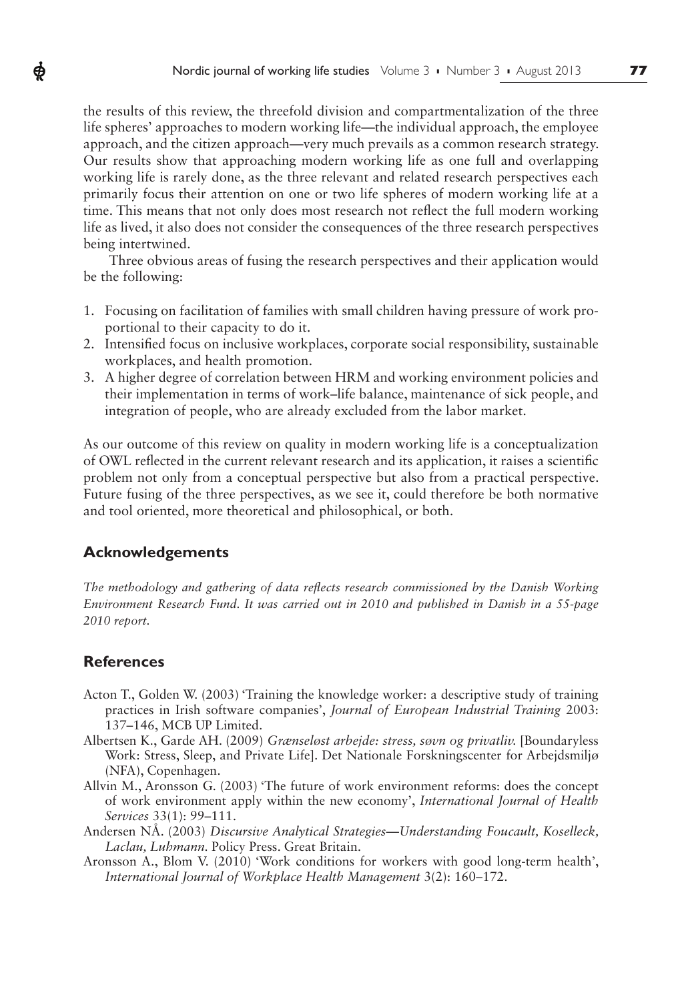the results of this review, the threefold division and compartmentalization of the three life spheres' approaches to modern working life—the individual approach, the employee approach, and the citizen approach—very much prevails as a common research strategy. Our results show that approaching modern working life as one full and overlapping working life is rarely done, as the three relevant and related research perspectives each primarily focus their attention on one or two life spheres of modern working life at a time. This means that not only does most research not reflect the full modern working life as lived, it also does not consider the consequences of the three research perspectives being intertwined.

Three obvious areas of fusing the research perspectives and their application would be the following:

- 1. Focusing on facilitation of families with small children having pressure of work proportional to their capacity to do it.
- 2. Intensified focus on inclusive workplaces, corporate social responsibility, sustainable workplaces, and health promotion.
- 3. A higher degree of correlation between HRM and working environment policies and their implementation in terms of work–life balance, maintenance of sick people, and integration of people, who are already excluded from the labor market.

As our outcome of this review on quality in modern working life is a conceptualization of OWL reflected in the current relevant research and its application, it raises a scientific problem not only from a conceptual perspective but also from a practical perspective. Future fusing of the three perspectives, as we see it, could therefore be both normative and tool oriented, more theoretical and philosophical, or both.

# **Acknowledgements**

*The methodology and gathering of data reflects research commissioned by the Danish Working Environment Research Fund. It was carried out in 2010 and published in Danish in a 55-page 2010 report.*

# **References**

Ф

- Acton T., Golden W. (2003) 'Training the knowledge worker: a descriptive study of training practices in Irish software companies', *Journal of European Industrial Training* 2003: 137–146, MCB UP Limited.
- Albertsen K., Garde AH. (2009) *Grænseløst arbejde: stress, søvn og privatliv.* [Boundaryless Work: Stress, Sleep, and Private Life]. Det Nationale Forskningscenter for Arbejdsmiljø (NFA), Copenhagen.
- Allvin M., Aronsson G. (2003) 'The future of work environment reforms: does the concept of work environment apply within the new economy', *International Journal of Health Services* 33(1): 99–111.
- Andersen NÅ. (2003) *Discursive Analytical Strategies*—*Understanding Foucault, Koselleck, Laclau, Luhmann.* Policy Press. Great Britain.
- Aronsson A., Blom V. (2010) 'Work conditions for workers with good long-term health', *International Journal of Workplace Health Management* 3(2): 160–172.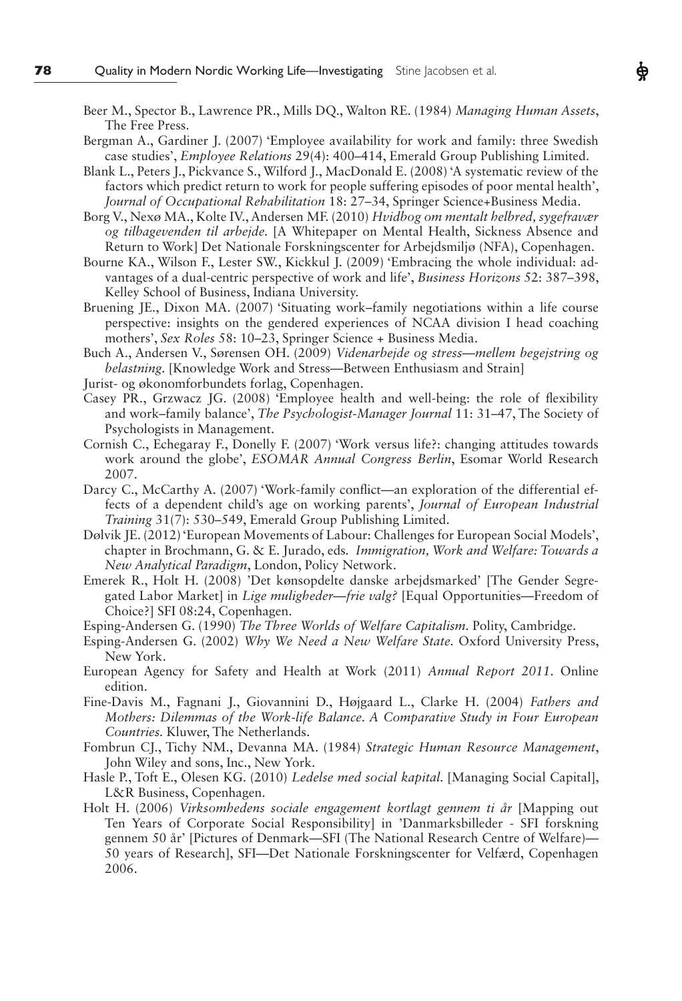- Beer M., Spector B., Lawrence PR., Mills DQ., Walton RE. (1984) *Managing Human Assets*, The Free Press.
- Bergman A., Gardiner J. (2007) 'Employee availability for work and family: three Swedish case studies', *Employee Relations* 29(4): 400–414, Emerald Group Publishing Limited.
- Blank L., Peters J., Pickvance S., Wilford J., MacDonald E. (2008) 'A systematic review of the factors which predict return to work for people suffering episodes of poor mental health', *Journal of Occupational Rehabilitation* 18: 27–34, Springer Science+Business Media.
- Borg V., Nexø MA., Kolte IV., Andersen MF. (2010) *Hvidbog om mentalt helbred, sygefravær og tilbagevenden til arbejde.* [A Whitepaper on Mental Health, Sickness Absence and Return to Work] Det Nationale Forskningscenter for Arbejdsmiljø (NFA), Copenhagen.
- Bourne KA., Wilson F., Lester SW., Kickkul J. (2009) 'Embracing the whole individual: advantages of a dual-centric perspective of work and life', *Business Horizons* 52: 387–398, Kelley School of Business, Indiana University.
- Bruening JE., Dixon MA. (2007) 'Situating work–family negotiations within a life course perspective: insights on the gendered experiences of NCAA division I head coaching mothers', *Sex Roles* 58: 10–23, Springer Science + Business Media.
- Buch A., Andersen V., Sørensen OH. (2009) *Videnarbejde og stress*—*mellem begejstring og belastning.* [Knowledge Work and Stress—Between Enthusiasm and Strain]
- Jurist- og økonomforbundets forlag, Copenhagen.
- Casey PR., Grzwacz JG. (2008) 'Employee health and well-being: the role of flexibility and work–family balance', *The Psychologist-Manager Journal* 11: 31–47, The Society of Psychologists in Management.
- Cornish C., Echegaray F., Donelly F. (2007) 'Work versus life?: changing attitudes towards work around the globe', *ESOMAR Annual Congress Berlin*, Esomar World Research 2007.
- Darcy C., McCarthy A. (2007) 'Work-family conflict—an exploration of the differential effects of a dependent child's age on working parents', *Journal of European Industrial Training* 31(7): 530–549, Emerald Group Publishing Limited.
- Dølvik JE. (2012) 'European Movements of Labour: Challenges for European Social Models', chapter in Brochmann, G. & E. Jurado, eds*. Immigration, Work and Welfare: Towards a New Analytical Paradigm*, London, Policy Network.
- Emerek R., Holt H. (2008) 'Det kønsopdelte danske arbejdsmarked' [The Gender Segregated Labor Market] in *Lige muligheder*—*frie valg?* [Equal Opportunities—Freedom of Choice?] SFI 08:24, Copenhagen.
- Esping-Andersen G. (1990) *The Three Worlds of Welfare Capitalism.* Polity, Cambridge.
- Esping-Andersen G. (2002) *Why We Need a New Welfare State.* Oxford University Press, New York.
- European Agency for Safety and Health at Work (2011) *Annual Report 2011.* Online edition.
- Fine-Davis M., Fagnani J., Giovannini D., Højgaard L., Clarke H. (2004) *Fathers and Mothers: Dilemmas of the Work-life Balance. A Comparative Study in Four European Countries.* Kluwer, The Netherlands.
- Fombrun CJ., Tichy NM., Devanna MA. (1984) *Strategic Human Resource Management*, John Wiley and sons, Inc., New York.
- Hasle P., Toft E., Olesen KG. (2010) *Ledelse med social kapital.* [Managing Social Capital], L&R Business, Copenhagen.
- Holt H. (2006) *Virksomhedens sociale engagement kortlagt gennem ti år* [Mapping out Ten Years of Corporate Social Responsibility] in 'Danmarksbilleder - SFI forskning gennem 50 år' [Pictures of Denmark—SFI (The National Research Centre of Welfare)— 50 years of Research], SFI—Det Nationale Forskningscenter for Velfærd, Copenhagen 2006.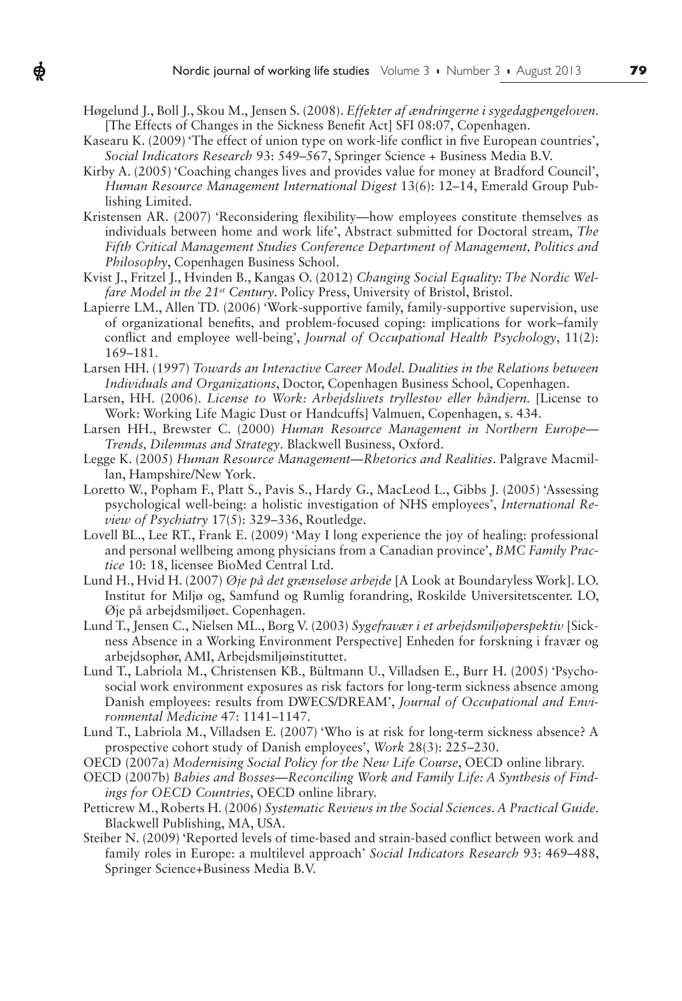Høgelund J., Boll J., Skou M., Jensen S. (2008). *Effekter af ændringerne i sygedagpengeloven.*  [The Effects of Changes in the Sickness Benefit Act] SFI 08:07, Copenhagen.

ф

- Kasearu K. (2009) 'The effect of union type on work-life conflict in five European countries', *Social Indicators Research* 93: 549–567, Springer Science + Business Media B.V.
- Kirby A. (2005) 'Coaching changes lives and provides value for money at Bradford Council', *Human Resource Management International Digest* 13(6): 12–14, Emerald Group Publishing Limited.
- Kristensen AR. (2007) 'Reconsidering flexibility—how employees constitute themselves as individuals between home and work life', Abstract submitted for Doctoral stream, *The Fifth Critical Management Studies Conference Department of Management, Politics and Philosophy*, Copenhagen Business School.
- Kvist J., Fritzel J., Hvinden B., Kangas O. (2012) *Changing Social Equality: The Nordic Welfare Model in the 21st Century*. Policy Press, University of Bristol, Bristol.
- Lapierre LM., Allen TD. (2006) 'Work-supportive family, family-supportive supervision, use of organizational benefits, and problem-focused coping: implications for work–family conflict and employee well-being', *Journal of Occupational Health Psychology*, 11(2): 169–181.
- Larsen HH. (1997) *Towards an Interactive Career Model. Dualities in the Relations between Individuals and Organizations*, Doctor, Copenhagen Business School, Copenhagen.
- Larsen, HH. (2006). *License to Work: Arbejdslivets tryllestøv eller håndjern*. [License to Work: Working Life Magic Dust or Handcuffs] Valmuen, Copenhagen, s. 434.
- Larsen HH., Brewster C. (2000) *Human Resource Management in Northern Europe Trends, Dilemmas and Strategy*. Blackwell Business, Oxford.
- Legge K. (2005) *Human Resource Management*—*Rhetorics and Realities*. Palgrave Macmillan, Hampshire/New York.
- Loretto W., Popham F., Platt S., Pavis S., Hardy G., MacLeod L., Gibbs J. (2005) 'Assessing psychological well-being: a holistic investigation of NHS employees', *International Review of Psychiatry* 17(5): 329–336, Routledge.
- Lovell BL., Lee RT., Frank E. (2009) 'May I long experience the joy of healing: professional and personal wellbeing among physicians from a Canadian province', *BMC Family Practice* 10: 18, licensee BioMed Central Ltd.
- Lund H., Hvid H. (2007) *Øje på det grænseløse arbejde* [A Look at Boundaryless Work]. LO. Institut for Miljø og, Samfund og Rumlig forandring, Roskilde Universitetscenter. LO, Øje på arbejdsmiljøet. Copenhagen.
- Lund T., Jensen C., Nielsen ML., Borg V. (2003) *Sygefravær i et arbejdsmiljøperspektiv* [Sickness Absence in a Working Environment Perspective] Enheden for forskning i fravær og arbejdsophør, AMI, Arbejdsmiljøinstituttet.
- Lund T., Labriola M., Christensen KB., Bültmann U., Villadsen E., Burr H. (2005) 'Psychosocial work environment exposures as risk factors for long-term sickness absence among Danish employees: results from DWECS/DREAM', *Journal of Occupational and Environmental Medicine* 47: 1141–1147.
- Lund T., Labriola M., Villadsen E. (2007) 'Who is at risk for long-term sickness absence? A prospective cohort study of Danish employees', *Work* 28(3): 225–230.
- OECD (2007a) *Modernising Social Policy for the New Life Course*, OECD online library.
- OECD (2007b) *Babies and Bosses*—*Reconciling Work and Family Life: A Synthesis of Findings for OECD Countries*, OECD online library.
- Petticrew M., Roberts H. (2006) *Systematic Reviews in the Social Sciences. A Practical Guide.*  Blackwell Publishing, MA, USA.
- Steiber N. (2009) 'Reported levels of time-based and strain-based conflict between work and family roles in Europe: a multilevel approach' *Social Indicators Research* 93: 469–488, Springer Science+Business Media B.V.